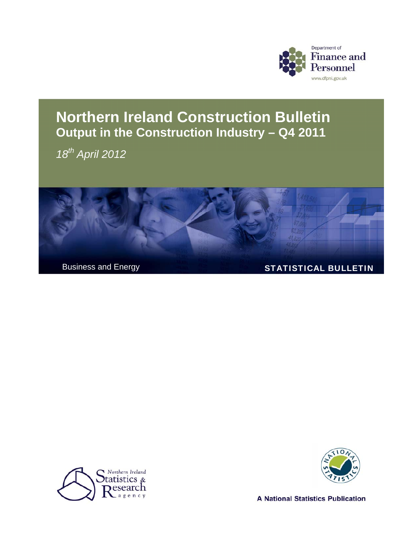

# **Northern Ireland Construction Bulletin Output in the Construction Industry – Q4 2011**

*18th April 2012* 







**A National Statistics Publication**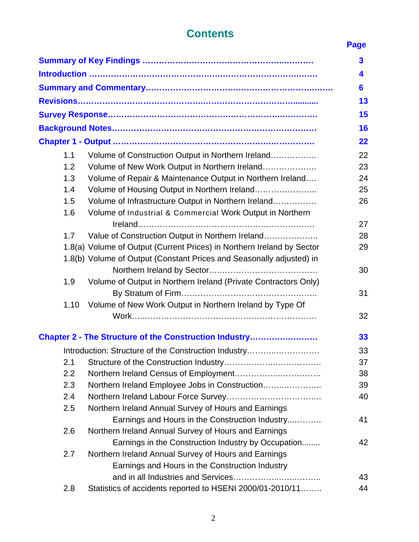# **Contents** Page

|      |                                                                        | $\overline{\mathbf{3}}$ |
|------|------------------------------------------------------------------------|-------------------------|
|      |                                                                        | 4                       |
|      |                                                                        | 6                       |
|      |                                                                        | 13                      |
|      |                                                                        | 15                      |
|      |                                                                        | 16                      |
|      |                                                                        | 22                      |
| 1.1  | Volume of Construction Output in Northern Ireland                      | 22                      |
| 1.2  | Volume of New Work Output in Northern Ireland                          | 23                      |
| 1.3  |                                                                        | 24                      |
|      | Volume of Repair & Maintenance Output in Northern Ireland              |                         |
| 1.4  | Volume of Housing Output in Northern Ireland                           | 25                      |
| 1.5  | Volume of Infrastructure Output in Northern Ireland                    | 26                      |
| 1.6  | Volume of Industrial & Commercial Work Output in Northern              |                         |
|      |                                                                        | 27                      |
| 1.7  | Value of Construction Output in Northern Ireland                       | 28                      |
|      | 1.8(a) Volume of Output (Current Prices) in Northern Ireland by Sector | 29                      |
|      | 1.8(b) Volume of Output (Constant Prices and Seasonally adjusted) in   |                         |
|      |                                                                        | 30                      |
| 1.9  | Volume of Output in Northern Ireland (Private Contractors Only)        |                         |
|      |                                                                        | 31                      |
| 1.10 | Volume of New Work Output in Northern Ireland by Type Of               |                         |
|      |                                                                        | 32                      |
|      | Chapter 2 - The Structure of the Construction Industry                 | 33                      |
|      | Introduction: Structure of the Construction Industry                   | 33                      |
| 2.1  |                                                                        | 37                      |
| 2.2  |                                                                        | 38                      |
| 2.3  | Northern Ireland Employee Jobs in Construction                         | 39                      |
| 2.4  |                                                                        | 40                      |
| 2.5  | Northern Ireland Annual Survey of Hours and Earnings                   |                         |
|      | Earnings and Hours in the Construction Industry                        | 41                      |
| 2.6  | Northern Ireland Annual Survey of Hours and Earnings                   |                         |
|      | Earnings in the Construction Industry by Occupation                    | 42                      |
| 2.7  | Northern Ireland Annual Survey of Hours and Earnings                   |                         |
|      | Earnings and Hours in the Construction Industry                        |                         |
|      |                                                                        | 43                      |
| 2.8  | Statistics of accidents reported to HSENI 2000/01-2010/11              | 44                      |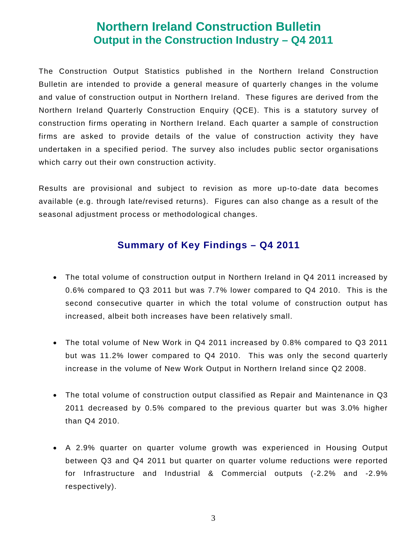# **Northern Ireland Construction Bulletin Output in the Construction Industry – Q4 2011**

The Construction Output Statistics published in the Northern Ireland Construction Bulletin are intended to provide a general measure of quarterly changes in the volume and value of construction output in Northern Ireland. These figures are derived from the Northern Ireland Quarterly Construction Enquiry (QCE). This is a statutory survey of construction firms operating in Northern Ireland. Each quarter a sample of construction firms are asked to provide details of the value of construction activity they have undertaken in a specified period. The survey also includes public sector organisations which carry out their own construction activity.

Results are provisional and subject to revision as more up-to-date data becomes available (e.g. through late/revised returns). Figures can also change as a result of the seasonal adjustment process or methodological changes.

# **Summary of Key Findings – Q4 2011**

- The total volume of construction output in Northern Ireland in Q4 2011 increased by 0.6% compared to Q3 2011 but was 7.7% lower compared to Q4 2010. This is the second consecutive quarter in which the total volume of construction output has increased, albeit both increases have been relatively small.
- The total volume of New Work in Q4 2011 increased by 0.8% compared to Q3 2011 but was 11.2% lower compared to Q4 2010. This was only the second quarterly increase in the volume of New Work Output in Northern Ireland since Q2 2008.
- The total volume of construction output classified as Repair and Maintenance in Q3 2011 decreased by 0.5% compared to the previous quarter but was 3.0% higher than Q4 2010.
- A 2.9% quarter on quarter volume growth was experienced in Housing Output between Q3 and Q4 2011 but quarter on quarter volume reductions were reported for Infrastructure and Industrial & Commercial outputs (-2.2% and -2.9% respectively).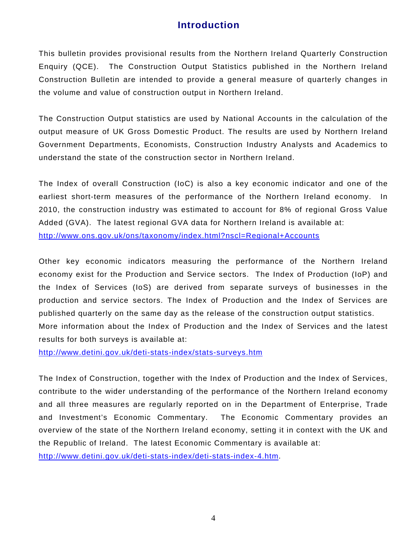# **Introduction**

This bulletin provides provisional results from the Northern Ireland Quarterly Construction Enquiry (QCE). The Construction Output Statistics published in the Northern Ireland Construction Bulletin are intended to provide a general measure of quarterly changes in the volume and value of construction output in Northern Ireland.

The Construction Output statistics are used by National Accounts in the calculation of the output measure of UK Gross Domestic Product. The results are used by Northern Ireland Government Departments, Economists, Construction Industry Analysts and Academics to understand the state of the construction sector in Northern Ireland.

The Index of overall Construction (IoC) is also a key economic indicator and one of the earliest short-term measures of the performance of the Northern Ireland economy. In 2010, the construction industry was estimated to account for 8% of regional Gross Value Added (GVA). The latest regional GVA data for Northern Ireland is available at: <http://www.ons.gov.uk/ons/taxonomy/index.html?nscl=Regional+Accounts>

Other key economic indicators measuring the performance of the Northern Ireland economy exist for the Production and Service sectors. The Index of Production (IoP) and the Index of Services (IoS) are derived from separate surveys of businesses in the production and service sectors. The Index of Production and the Index of Services are published quarterly on the same day as the release of the construction output statistics. More information about the Index of Production and the Index of Services and the latest results for both surveys is available at:

<http://www.detini.gov.uk/deti-stats-index/stats-surveys.htm>

The Index of Construction, together with the Index of Production and the Index of Services, contribute to the wider understanding of the performance of the Northern Ireland economy and all three measures are regularly reported on in the Department of Enterprise, Trade and Investment's Economic Commentary. The Economic Commentary provides an overview of the state of the Northern Ireland economy, setting it in context with the UK and the Republic of Ireland. The latest Economic Commentary is available at: <http://www.detini.gov.uk/deti-stats-index/deti-stats-index-4.htm>.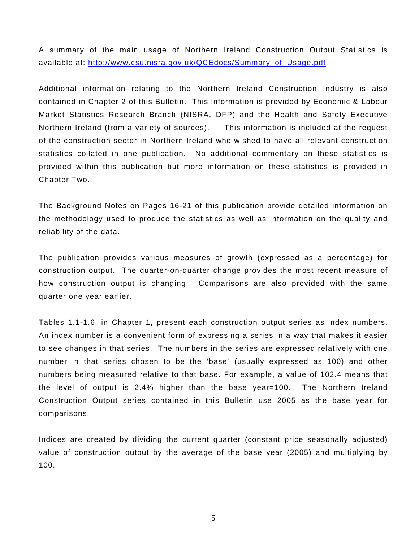A summary of the main usage of Northern Ireland Construction Output Statistics is available at: [http://www.csu.nisra.gov.uk/QCEdocs/Summary\\_of\\_Usage.pdf](http://www.csu.nisra.gov.uk/QCEdocs/Summary_of_Usage.pdf)

Additional information relating to the Northern Ireland Construction Industry is also contained in Chapter 2 of this Bulletin. This information is provided by Economic & Labour Market Statistics Research Branch (NISRA, DFP) and the Health and Safety Executive Northern Ireland (from a variety of sources). This information is included at the request of the construction sector in Northern Ireland who wished to have all relevant construction statistics collated in one publication. No additional commentary on these statistics is provided within this publication but more information on these statistics is provided in Chapter Two.

The Background Notes on Pages 16-21 of this publication provide detailed information on the methodology used to produce the statistics as well as information on the quality and reliability of the data.

The publication provides various measures of growth (expressed as a percentage) for construction output. The quarter-on-quarter change provides the most recent measure of how construction output is changing. Comparisons are also provided with the same quarter one year earlier.

Tables 1.1-1.6, in Chapter 1, present each construction output series as index numbers. An index number is a convenient form of expressing a series in a way that makes it easier to see changes in that series. The numbers in the series are expressed relatively with one number in that series chosen to be the 'base' (usually expressed as 100) and other numbers being measured relative to that base. For example, a value of 102.4 means that the level of output is 2.4% higher than the base year=100. The Northern Ireland Construction Output series contained in this Bulletin use 2005 as the base year for comparisons.

Indices are created by dividing the current quarter (constant price seasonally adjusted) value of construction output by the average of the base year (2005) and multiplying by 100.

5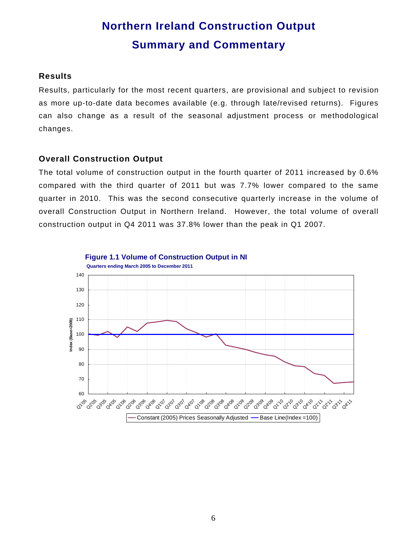# **Northern Ireland Construction Output Summary and Commentary**

#### **Results**

Results, particularly for the most recent quarters, are provisional and subject to revision as more up-to-date data becomes available (e.g. through late/revised returns). Figures can also change as a result of the seasonal adjustment process or methodological changes.

#### **Overall Construction Output**

The total volume of construction output in the fourth quarter of 2011 increased by 0.6% compared with the third quarter of 2011 but was 7.7% lower compared to the same quarter in 2010. This was the second consecutive quarterly increase in the volume of overall Construction Output in Northern Ireland. However, the total volume of overall construction output in Q4 2011 was 37.8% lower than the peak in Q1 2007.

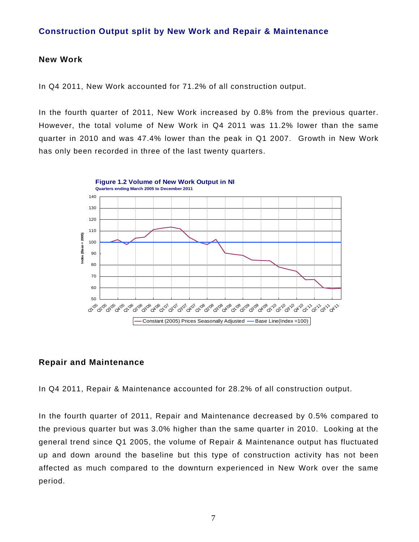#### **Construction Output split by New Work and Repair & Maintenance**

#### **New Work**

In Q4 2011, New Work accounted for 71.2% of all construction output.

In the fourth quarter of 2011, New Work increased by 0.8% from the previous quarter. However, the total volume of New Work in Q4 2011 was 11.2% lower than the same quarter in 2010 and was 47.4% lower than the peak in Q1 2007. Growth in New Work has only been recorded in three of the last twenty quarters.



#### **Repair and Maintenance**

In Q4 2011, Repair & Maintenance accounted for 28.2% of all construction output.

In the fourth quarter of 2011, Repair and Maintenance decreased by 0.5% compared to the previous quarter but was 3.0% higher than the same quarter in 2010. Looking at the general trend since Q1 2005, the volume of Repair & Maintenance output has fluctuated up and down around the baseline but this type of construction activity has not been affected as much compared to the downturn experienced in New Work over the same period.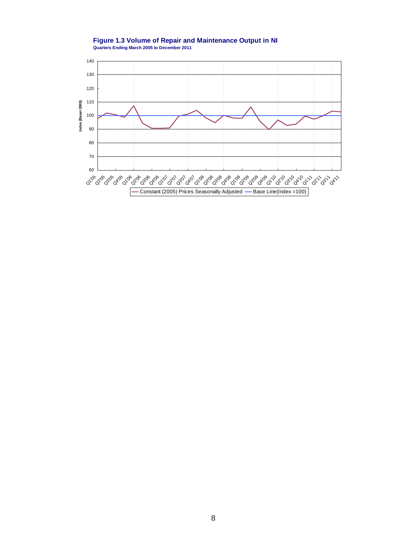

**Figure 1.3 Volume of Repair and Maintenance Output in NI Quarters Ending March 2005 to December 2011**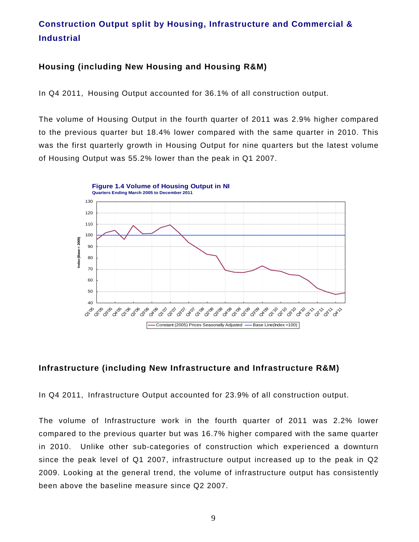# **Construction Output split by Housing, Infrastructure and Commercial & Industrial**

#### **Housing (including New Housing and Housing R&M)**

In Q4 2011, Housing Output accounted for 36.1% of all construction output.

The volume of Housing Output in the fourth quarter of 2011 was 2.9% higher compared to the previous quarter but 18.4% lower compared with the same quarter in 2010. This was the first quarterly growth in Housing Output for nine quarters but the latest volume of Housing Output was 55.2% lower than the peak in Q1 2007.



#### **Infrastructure (including New Infrastructure and Infrastructure R&M)**

In Q4 2011, Infrastructure Output accounted for 23.9% of all construction output.

The volume of Infrastructure work in the fourth quarter of 2011 was 2.2% lower compared to the previous quarter but was 16.7% higher compared with the same quarter in 2010. Unlike other sub-categories of construction which experienced a downturn since the peak level of Q1 2007, infrastructure output increased up to the peak in Q2 2009. Looking at the general trend, the volume of infrastructure output has consistently been above the baseline measure since Q2 2007.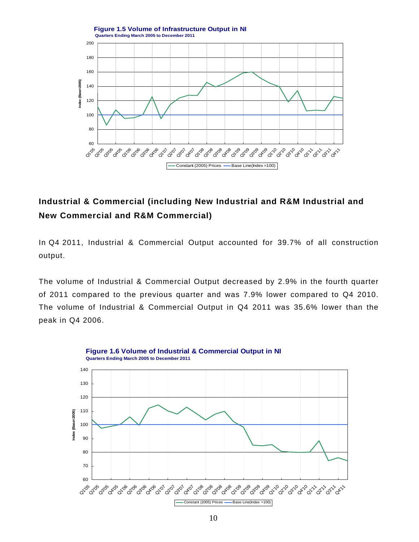

# **Industrial & Commercial (including New Industrial and R&M Industrial and New Commercial and R&M Commercial)**

In Q4 2011, Industrial & Commercial Output accounted for 39.7% of all construction output.

The volume of Industrial & Commercial Output decreased by 2.9% in the fourth quarter of 2011 compared to the previous quarter and was 7.9% lower compared to Q4 2010. The volume of Industrial & Commercial Output in Q4 2011 was 35.6% lower than the peak in Q4 2006.

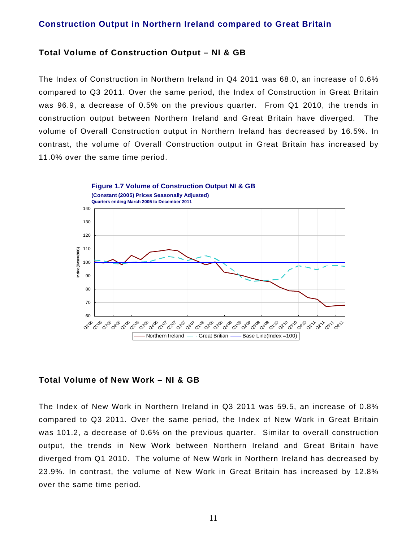#### **Construction Output in Northern Ireland compared to Great Britain**

#### **Total Volume of Construction Output – NI & GB**

The Index of Construction in Northern Ireland in Q4 2011 was 68.0, an increase of 0.6% compared to Q3 2011. Over the same period, the Index of Construction in Great Britain was 96.9, a decrease of 0.5% on the previous quarter. From Q1 2010, the trends in construction output between Northern Ireland and Great Britain have diverged. The volume of Overall Construction output in Northern Ireland has decreased by 16.5%. In contrast, the volume of Overall Construction output in Great Britain has increased by 11.0% over the same time period.



#### **Total Volume of New Work – NI & GB**

The Index of New Work in Northern Ireland in Q3 2011 was 59.5, an increase of 0.8% compared to Q3 2011. Over the same period, the Index of New Work in Great Britain was 101.2, a decrease of 0.6% on the previous quarter. Similar to overall construction output, the trends in New Work between Northern Ireland and Great Britain have diverged from Q1 2010. The volume of New Work in Northern Ireland has decreased by 23.9%. In contrast, the volume of New Work in Great Britain has increased by 12.8% over the same time period.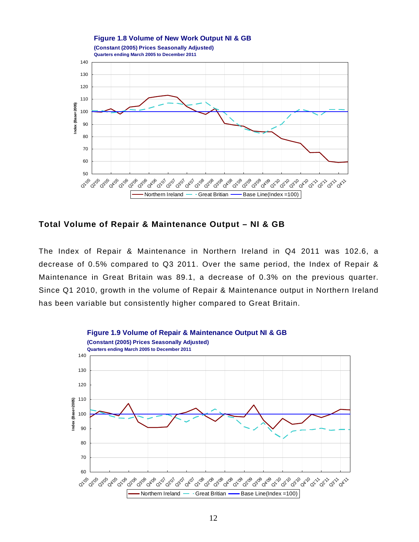

#### **Total Volume of Repair & Maintenance Output – NI & GB**

The Index of Repair & Maintenance in Northern Ireland in Q4 2011 was 102.6, a decrease of 0.5% compared to Q3 2011. Over the same period, the Index of Repair & Maintenance in Great Britain was 89.1, a decrease of 0.3% on the previous quarter. Since Q1 2010, growth in the volume of Repair & Maintenance output in Northern Ireland has been variable but consistently higher compared to Great Britain.

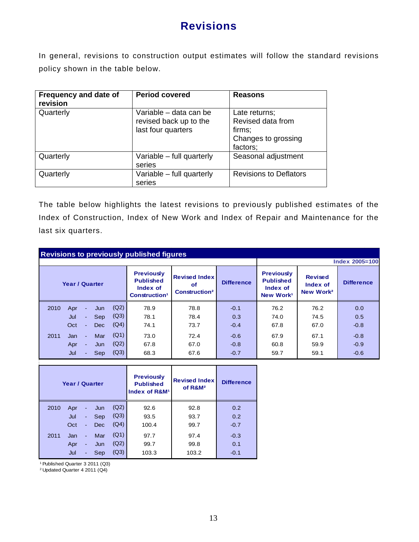# **Revisions**

In general, revisions to construction output estimates will follow the standard revisions policy shown in the table below.

| Frequency and date of<br>revision | <b>Period covered</b>                                                  | <b>Reasons</b>                                                                  |
|-----------------------------------|------------------------------------------------------------------------|---------------------------------------------------------------------------------|
| Quarterly                         | Variable - data can be<br>revised back up to the<br>last four quarters | Late returns;<br>Revised data from<br>firms;<br>Changes to grossing<br>factors; |
| Quarterly                         | Variable – full quarterly<br>series                                    | Seasonal adjustment                                                             |
| Quarterly                         | Variable – full quarterly<br>series                                    | <b>Revisions to Deflators</b>                                                   |

The table below highlights the latest revisions to previously published estimates of the Index of Construction, Index of New Work and Index of Repair and Maintenance for the last six quarters.

|                       | <b>Revisions to previously published figures</b> |          |            |                                                                                |                                                                |                   |                                                                            |                                                     |                   |                |  |
|-----------------------|--------------------------------------------------|----------|------------|--------------------------------------------------------------------------------|----------------------------------------------------------------|-------------------|----------------------------------------------------------------------------|-----------------------------------------------------|-------------------|----------------|--|
|                       |                                                  |          |            |                                                                                |                                                                |                   |                                                                            |                                                     |                   | Index 2005=100 |  |
| <b>Year / Quarter</b> |                                                  |          |            | <b>Previously</b><br><b>Published</b><br>Index of<br>Construction <sup>1</sup> | <b>Revised Index</b><br>of<br><b>Construction</b> <sup>2</sup> | <b>Difference</b> | <b>Previously</b><br><b>Published</b><br>Index of<br>New Work <sup>1</sup> | <b>Revised</b><br>Index of<br>New Work <sup>2</sup> | <b>Difference</b> |                |  |
| 2010                  | Apr                                              | $\sim$   | Jun        | (Q2)                                                                           | 78.9                                                           | 78.8              | $-0.1$                                                                     | 76.2                                                | 76.2              | 0.0            |  |
|                       | Jul                                              | $\sim$   | Sep        | (Q3)                                                                           | 78.1                                                           | 78.4              | 0.3                                                                        | 74.0                                                | 74.5              | 0.5            |  |
|                       | Oct                                              | $\sim$   | <b>Dec</b> | (Q4)                                                                           | 74.1                                                           | 73.7              | $-0.4$                                                                     | 67.8                                                | 67.0              | $-0.8$         |  |
| 2011                  | Jan                                              | $\sim$   | Mar        | (Q1)                                                                           | 73.0                                                           | 72.4              | $-0.6$                                                                     | 67.9                                                | 67.1              | $-0.8$         |  |
|                       | Apr                                              | $\sim$   | Jun        | (Q2)                                                                           | 67.8                                                           | 67.0              | $-0.8$                                                                     | 60.8                                                | 59.9              | $-0.9$         |  |
|                       | Jul                                              | $\equiv$ | Sep        | (Q3)                                                                           | 68.3                                                           | 67.6              | $-0.7$                                                                     | 59.7                                                | 59.1              | $-0.6$         |  |

|      | <b>Year / Quarter</b> |    |     |      | <b>Previously</b><br><b>Published</b><br>Index of R&M <sup>1</sup> | <b>Revised Index</b><br>of R&M <sup>2</sup> | <b>Difference</b> |
|------|-----------------------|----|-----|------|--------------------------------------------------------------------|---------------------------------------------|-------------------|
| 2010 | Apr                   | ÷, | Jun | (Q2) | 92.6                                                               | 92.8                                        | 0.2               |
|      | Jul                   | Ξ  | Sep | (Q3) | 93.5                                                               | 93.7                                        | 0.2               |
|      | Oct                   | ٠  | Dec | (Q4) | 100.4                                                              | 99.7                                        | $-0.7$            |
| 2011 | Jan                   | ٠  | Mar | (Q1) | 97.7                                                               | 97.4                                        | $-0.3$            |
|      | Apr                   | ٠  | Jun | (Q2) | 99.7                                                               | 99.8                                        | 0.1               |
|      | Jul                   | ٠  | Sep | (Q3) | 103.3                                                              | 103.2                                       | $-0.1$            |

1 Published Quarter 3 2011 (Q3)

2 Updated Quarter 4 2011 (Q4)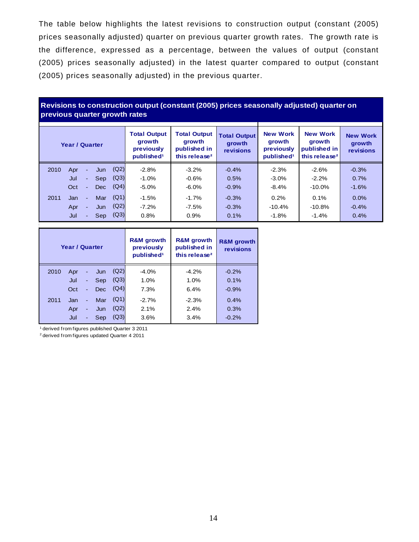The table below highlights the latest revisions to construction output (constant (2005) prices seasonally adjusted) quarter on previous quarter growth rates. The growth rate is the difference, expressed as a percentage, between the values of output (constant (2005) prices seasonally adjusted) in the latest quarter compared to output (constant (2005) prices seasonally adjusted) in the previous quarter.

#### **Revisions to construction output (constant (2005) prices seasonally adjusted) quarter on previous quarter growth rates**

| Year / Quarter                               | <b>Total Output</b><br>growth<br>previously<br>published <sup>1</sup> | <b>Total Output</b><br>growth<br>published in<br>this release <sup>2</sup> | <b>Total Output</b><br>growth<br>revisions | <b>New Work</b><br>growth<br>previously<br>published <sup>1</sup> | <b>New Work</b><br>growth<br>published in<br>this release <sup>2</sup> | <b>New Work</b><br>growth<br>revisions |
|----------------------------------------------|-----------------------------------------------------------------------|----------------------------------------------------------------------------|--------------------------------------------|-------------------------------------------------------------------|------------------------------------------------------------------------|----------------------------------------|
| (Q2)<br>2010<br>Apr<br>Jun<br>$\blacksquare$ | $-2.8%$                                                               | $-3.2%$                                                                    | $-0.4%$                                    | $-2.3%$                                                           | $-2.6%$                                                                | $-0.3%$                                |
| Jul<br>Sep<br>÷.                             | (Q3)<br>$-1.0\%$                                                      | $-0.6%$                                                                    | 0.5%                                       | $-3.0\%$                                                          | $-2.2%$                                                                | 0.7%                                   |
| Oct<br><b>Dec</b><br>$\sim$                  | (Q4)<br>$-5.0%$                                                       | $-6.0\%$                                                                   | $-0.9%$                                    | $-8.4%$                                                           | $-10.0\%$                                                              | $-1.6%$                                |
| (Q1)<br>Mar<br>2011<br>Jan.<br>$\sim$        | $-1.5%$                                                               | $-1.7%$                                                                    | $-0.3%$                                    | 0.2%                                                              | 0.1%                                                                   | 0.0%                                   |
| (Q2)<br>Apr<br>Jun<br>$\sim$                 | $-7.2%$                                                               | $-7.5%$                                                                    | $-0.3%$                                    | $-10.4%$                                                          | $-10.8%$                                                               | $-0.4%$                                |
| Jul<br>Sep<br>÷.                             | (Q3)<br>0.8%                                                          | 0.9%                                                                       | 0.1%                                       | $-1.8%$                                                           | $-1.4%$                                                                | 0.4%                                   |

|      | Year / Quarter |                          |            |      | <b>R&amp;M</b> growth<br>previously<br>published <sup>1</sup> | <b>R&amp;M</b> growth<br>published in<br>this release <sup>2</sup> | <b>R&amp;M</b> growth<br>revisions |
|------|----------------|--------------------------|------------|------|---------------------------------------------------------------|--------------------------------------------------------------------|------------------------------------|
| 2010 | Apr            | ٠                        | Jun        | (Q2) | $-4.0%$                                                       | $-4.2%$                                                            | $-0.2%$                            |
|      | Jul            | ٠                        | Sep        | (Q3) | 1.0%                                                          | 1.0%                                                               | 0.1%                               |
|      | Oct            | $\blacksquare$           | <b>Dec</b> | (Q4) | 7.3%                                                          | 6.4%                                                               | $-0.9%$                            |
| 2011 | Jan            | ٠                        | Mar        | (Q1) | $-2.7%$                                                       | $-2.3%$                                                            | 0.4%                               |
|      | Apr            | ÷                        | Jun        | (Q2) | 2.1%                                                          | 2.4%                                                               | 0.3%                               |
|      | Jul            | $\overline{\phantom{a}}$ | <b>Sep</b> | (Q3) | 3.6%                                                          | 3.4%                                                               | $-0.2%$                            |

1 derived from figures published Quarter 3 2011

2 derived from figures updated Quarter 4 2011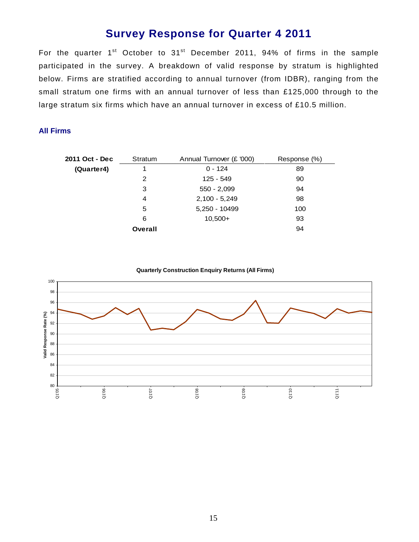# **Survey Response for Quarter 4 2011**

For the quarter 1<sup>st</sup> October to 31<sup>st</sup> December 2011, 94% of firms in the sample participated in the survey. A breakdown of valid response by stratum is highlighted below. Firms are stratified according to annual turnover (from IDBR), ranging from the small stratum one firms with an annual turnover of less than £125,000 through to the large stratum six firms which have an annual turnover in excess of £10.5 million.

#### **All Firms**

| 2011 Oct - Dec | Stratum | Annual Turnover (£ '000) | Response (%) |
|----------------|---------|--------------------------|--------------|
| (Quarter4)     |         | $0 - 124$                | 89           |
|                | 2       | 125 - 549                | 90           |
|                | 3       | $550 - 2,099$            | 94           |
|                | 4       | $2,100 - 5,249$          | 98           |
|                | 5       | 5,250 - 10499            | 100          |
|                | 6       | $10,500+$                | 93           |
|                | Overall |                          | 94           |

**Quarterly Construction Enquiry Returns (All Firms)**

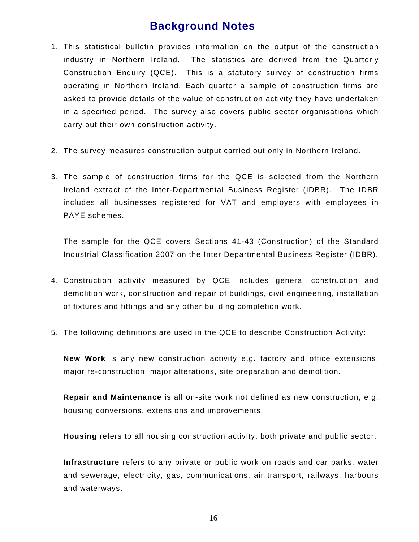# **Background Notes**

- 1. This statistical bulletin provides information on the output of the construction industry in Northern Ireland. The statistics are derived from the Quarterly Construction Enquiry (QCE). This is a statutory survey of construction firms operating in Northern Ireland. Each quarter a sample of construction firms are asked to provide details of the value of construction activity they have undertaken in a specified period. The survey also covers public sector organisations which carry out their own construction activity.
- 2. The survey measures construction output carried out only in Northern Ireland.
- 3. The sample of construction firms for the QCE is selected from the Northern Ireland extract of the Inter-Departmental Business Register (IDBR). The IDBR includes all businesses registered for VAT and employers with employees in PAYE schemes.

The sample for the QCE covers Sections 41-43 (Construction) of the Standard Industrial Classification 2007 on the Inter Departmental Business Register (IDBR).

- 4. Construction activity measured by QCE includes general construction and demolition work, construction and repair of buildings, civil engineering, installation of fixtures and fittings and any other building completion work.
- 5. The following definitions are used in the QCE to describe Construction Activity:

**New Work** is any new construction activity e.g. factory and office extensions, major re-construction, major alterations, site preparation and demolition.

**Repair and Maintenance** is all on-site work not defined as new construction, e.g. housing conversions, extensions and improvements.

**Housing** refers to all housing construction activity, both private and public sector.

**Infrastructure** refers to any private or public work on roads and car parks, water and sewerage, electricity, gas, communications, air transport, railways, harbours and waterways.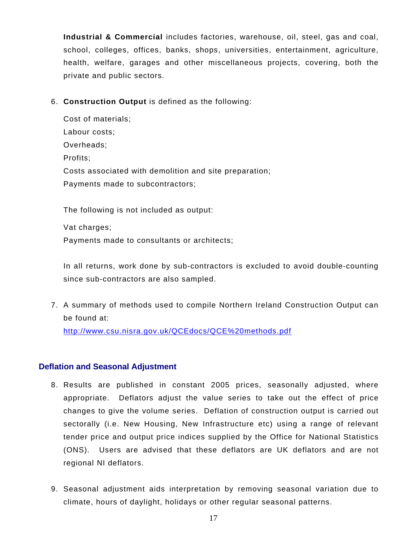**Industrial & Commercial** includes factories, warehouse, oil, steel, gas and coal, school, colleges, offices, banks, shops, universities, entertainment, agriculture, health, welfare, garages and other miscellaneous projects, covering, both the private and public sectors.

6. **Construction Output** is defined as the following:

Cost of materials; Labour costs; Overheads; Profits; Costs associated with demolition and site preparation; Payments made to subcontractors;

The following is not included as output:

Vat charges;

Payments made to consultants or architects;

In all returns, work done by sub-contractors is excluded to avoid double-counting since sub-contractors are also sampled.

7. A summary of methods used to compile Northern Ireland Construction Output can be found at:

<http://www.csu.nisra.gov.uk/QCEdocs/QCE%20methods.pdf>

#### **Deflation and Seasonal Adjustment**

- 8. Results are published in constant 2005 prices, seasonally adjusted, where appropriate. Deflators adjust the value series to take out the effect of price changes to give the volume series. Deflation of construction output is carried out sectorally (i.e. New Housing, New Infrastructure etc) using a range of relevant tender price and output price indices supplied by the Office for National Statistics (ONS). Users are advised that these deflators are UK deflators and are not regional NI deflators.
- 9. Seasonal adjustment aids interpretation by removing seasonal variation due to climate, hours of daylight, holidays or other regular seasonal patterns.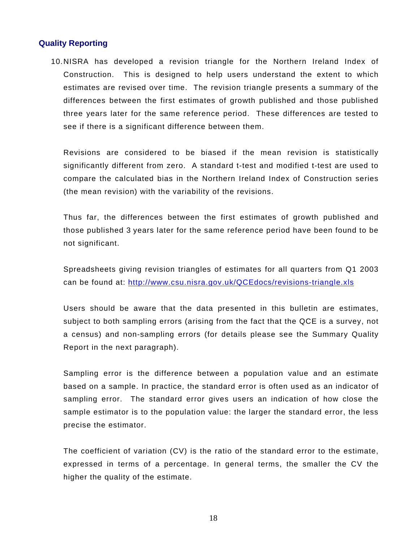#### **Quality Reporting**

10. NISRA has developed a revision triangle for the Northern Ireland Index of Construction. This is designed to help users understand the extent to which estimates are revised over time. The revision triangle presents a summary of the differences between the first estimates of growth published and those published three years later for the same reference period. These differences are tested to see if there is a significant difference between them.

Revisions are considered to be biased if the mean revision is statistically significantly different from zero. A standard t-test and modified t-test are used to compare the calculated bias in the Northern Ireland Index of Construction series (the mean revision) with the variability of the revisions.

Thus far, the differences between the first estimates of growth published and those published 3 years later for the same reference period have been found to be not significant.

Spreadsheets giving revision triangles of estimates for all quarters from Q1 2003 can be found at: <http://www.csu.nisra.gov.uk/QCEdocs/revisions-triangle.xls>

Users should be aware that the data presented in this bulletin are estimates, subject to both sampling errors (arising from the fact that the QCE is a survey, not a census) and non-sampling errors (for details please see the Summary Quality Report in the next paragraph).

Sampling error is the difference between a population value and an estimate based on a sample. In practice, the standard error is often used as an indicator of sampling error. The standard error gives users an indication of how close the sample estimator is to the population value: the larger the standard error, the less precise the estimator.

The coefficient of variation (CV) is the ratio of the standard error to the estimate, expressed in terms of a percentage. In general terms, the smaller the CV the higher the quality of the estimate.

18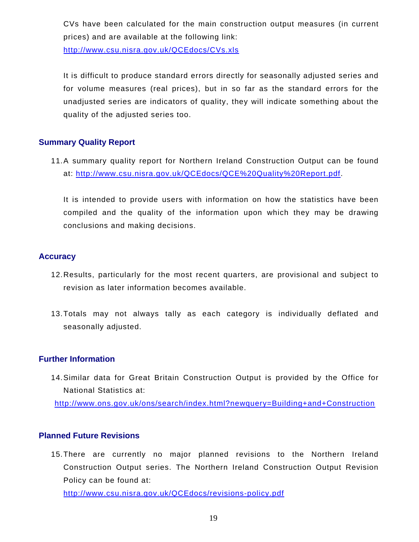CVs have been calculated for the main construction output measures (in current prices) and are available at the following link:

<http://www.csu.nisra.gov.uk/QCEdocs/CVs.xls>

It is difficult to produce standard errors directly for seasonally adjusted series and for volume measures (real prices), but in so far as the standard errors for the unadjusted series are indicators of quality, they will indicate something about the quality of the adjusted series too.

#### **Summary Quality Report**

11. A summary quality report for Northern Ireland Construction Output can be found at: [http://www.csu.nisra.gov.uk/QCEdocs/QCE%20Quality%20Report.pdf.](http://www.csu.nisra.gov.uk/QCEdocs/QCE%20Quality%20Report.pdf)

It is intended to provide users with information on how the statistics have been compiled and the quality of the information upon which they may be drawing conclusions and making decisions.

#### **Accuracy**

- 12. Results, particularly for the most recent quarters, are provisional and subject to revision as later information becomes available.
- 13. Totals may not always tally as each category is individually deflated and seasonally adjusted.

#### **Further Information**

14. Similar data for Great Britain Construction Output is provided by the Office for National Statistics at:

<http://www.ons.gov.uk/ons/search/index.html?newquery=Building+and+Construction>

#### **Planned Future Revisions**

15. There are currently no major planned revisions to the Northern Ireland Construction Output series. The Northern Ireland Construction Output Revision Policy can be found at:

<http://www.csu.nisra.gov.uk/QCEdocs/revisions-policy.pdf>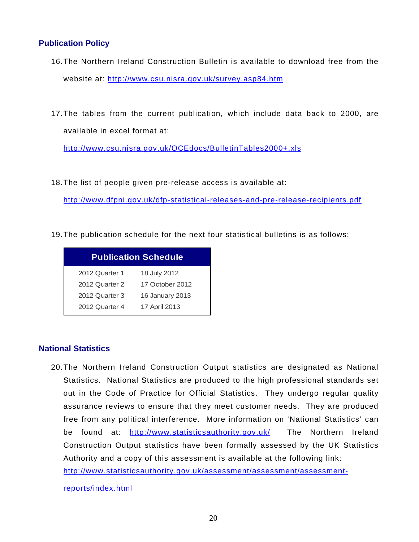#### **Publication Policy**

- 16. The Northern Ireland Construction Bulletin is available to download free from the website at: <http://www.csu.nisra.gov.uk/survey.asp84.htm>
- 17. The tables from the current publication, which include data back to 2000, are available in excel format at:

<http://www.csu.nisra.gov.uk/QCEdocs/BulletinTables2000+.xls>

18. The list of people given pre-release access is available at:

<http://www.dfpni.gov.uk/dfp-statistical-releases-and-pre-release-recipients.pdf>

19. The publication schedule for the next four statistical bulletins is as follows:

|                | <b>Publication Schedule</b> |
|----------------|-----------------------------|
| 2012 Quarter 1 | 18 July 2012                |
| 2012 Quarter 2 | 17 October 2012             |
| 2012 Quarter 3 | 16 January 2013             |
| 2012 Quarter 4 | 17 April 2013               |

#### **National Statistics**

20. The Northern Ireland Construction Output statistics are designated as National Statistics. National Statistics are produced to the high professional standards set out in the Code of Practice for Official Statistics. They undergo regular quality assurance reviews to ensure that they meet customer needs. They are produced free from any political interference. More information on 'National Statistics' can be found at: <http://www.statisticsauthority.gov.uk/> The Northern Ireland Construction Output statistics have been formally assessed by the UK Statistics Authority and a copy of this assessment is available at the following link:

[http://www.statisticsauthority.gov.uk/assessment/assessment/assessment-](http://www.statisticsauthority.gov.uk/assessment/assessment/assessment-reports/index.html)

[reports/index.html](http://www.statisticsauthority.gov.uk/assessment/assessment/assessment-reports/index.html)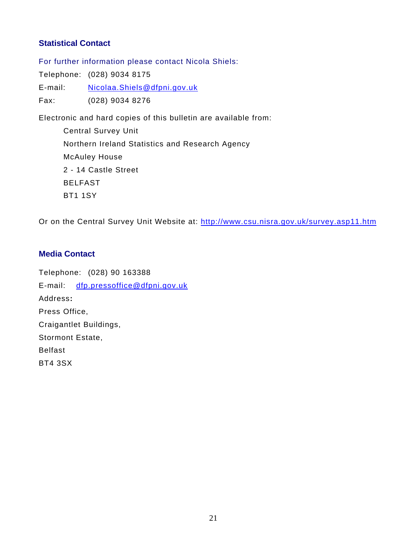#### **Statistical Contact**

For further information please contact Nicola Shiels:

Telephone: (028) 9034 8175

E-mail: [Nicolaa.Shiels@dfpni.gov.uk](mailto:Nicolaa.Shiels@dfpni.gov.uk)

Fax: (028) 9034 8276

Electronic and hard copies of this bulletin are available from:

 Central Survey Unit Northern Ireland Statistics and Research Agency McAuley House 2 - 14 Castle Street BELFAST BT1 1SY

Or on the Central Survey Unit Website at: <http://www.csu.nisra.gov.uk/survey.asp11.htm>

#### **Media Contact**

Telephone: (028) 90 163388 E-mail: [dfp.pressoffice@dfpni.gov.uk](mailto:dfp.pressoffice@dfpni.gov.uk) Address**:** Press Office, Craigantlet Buildings, Stormont Estate, Belfast BT4 3SX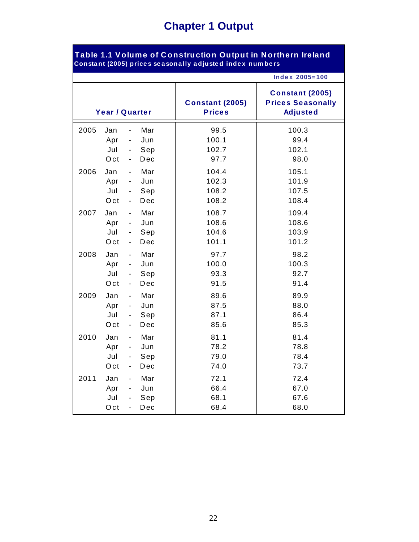# **Chapter 1 Output**

| Table 1.1 Volume of Construction Output in Northern Ireland<br>Constant (2005) prices seasonally adjusted index numbers |                          |                                                                                                            |                                         |                                                                       |  |  |  |
|-------------------------------------------------------------------------------------------------------------------------|--------------------------|------------------------------------------------------------------------------------------------------------|-----------------------------------------|-----------------------------------------------------------------------|--|--|--|
|                                                                                                                         |                          |                                                                                                            |                                         | <b>Index 2005=100</b>                                                 |  |  |  |
|                                                                                                                         |                          | Year / Quarter                                                                                             | <b>Constant (2005)</b><br><b>Prices</b> | <b>Constant (2005)</b><br><b>Prices Seasonally</b><br><b>Adjusted</b> |  |  |  |
| 2005                                                                                                                    | Jan<br>Apr<br>Jul<br>Oct | Mar<br>Jun<br>$\qquad \qquad \blacksquare$<br>Sep<br>$\blacksquare$<br>Dec<br>$\overline{\phantom{a}}$     | 99.5<br>100.1<br>102.7<br>97.7          | 100.3<br>99.4<br>102.1<br>98.0                                        |  |  |  |
| 2006                                                                                                                    | Jan<br>Apr<br>Jul<br>Oct | Mar<br>$\blacksquare$<br>Jun<br>$\sim$<br>Sep<br>$\qquad \qquad \blacksquare$<br>Dec<br>$\blacksquare$     | 104.4<br>102.3<br>108.2<br>108.2        | 105.1<br>101.9<br>107.5<br>108.4                                      |  |  |  |
| 2007                                                                                                                    | Jan<br>Apr<br>Jul<br>Oct | Mar<br>$\blacksquare$<br>Jun<br>$\blacksquare$<br>Sep<br>$\blacksquare$<br>Dec<br>$\overline{\phantom{a}}$ | 108.7<br>108.6<br>104.6<br>101.1        | 109.4<br>108.6<br>103.9<br>101.2                                      |  |  |  |
| 2008                                                                                                                    | Jan<br>Apr<br>Jul<br>Oct | Mar<br>$\sim$<br>Jun<br>$\sim$ $-$<br>Sep<br>$\blacksquare$<br>Dec<br>$\blacksquare$                       | 97.7<br>100.0<br>93.3<br>91.5           | 98.2<br>100.3<br>92.7<br>91.4                                         |  |  |  |
| 2009                                                                                                                    | Jan<br>Apr<br>Jul<br>Oct | Mar<br>$\blacksquare$<br>Jun<br>Sep<br>$\blacksquare$<br>Dec<br>$\blacksquare$                             | 89.6<br>87.5<br>87.1<br>85.6            | 89.9<br>88.0<br>86.4<br>85.3                                          |  |  |  |
| 2010                                                                                                                    | Jan<br>Apr<br>Jul<br>Oct | Mar<br>Jun<br>$\blacksquare$<br>Sep<br>$\sim 100$<br>Dec<br>$\qquad \qquad \blacksquare$                   | 81.1<br>78.2<br>79.0<br>74.0            | 81.4<br>78.8<br>78.4<br>73.7                                          |  |  |  |
| 2011                                                                                                                    | Jan<br>Apr<br>Jul<br>Oct | Mar<br>Jun<br>Sep<br>Dec                                                                                   | 72.1<br>66.4<br>68.1<br>68.4            | 72.4<br>67.0<br>67.6<br>68.0                                          |  |  |  |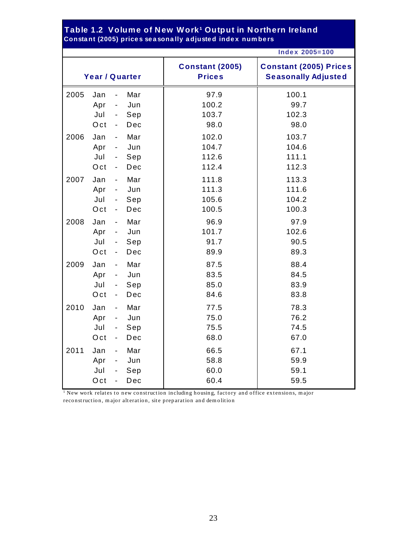#### **Table 1.2 Volume of New Work¹ Output in Northern Ireland Consta nt (2005) price s se a sona lly a djuste d inde x num be rs**

|      |                |                          |     |                                         | <b>Index 2005=100</b>                                       |
|------|----------------|--------------------------|-----|-----------------------------------------|-------------------------------------------------------------|
|      | Year / Quarter |                          |     | <b>Constant (2005)</b><br><b>Prices</b> | <b>Constant (2005) Prices</b><br><b>Seasonally Adjusted</b> |
| 2005 | Jan            | $\overline{\phantom{a}}$ | Mar | 97.9                                    | 100.1                                                       |
|      | Apr            | $\overline{\phantom{a}}$ | Jun | 100.2                                   | 99.7                                                        |
|      | Jul            | $\overline{\phantom{a}}$ | Sep | 103.7                                   | 102.3                                                       |
| 2006 | Oct            | $\blacksquare$           | Dec | 98.0                                    | 98.0                                                        |
|      | Jan            | $\overline{\phantom{a}}$ | Mar | 102.0                                   | 103.7                                                       |
|      | Apr            | $\blacksquare$           | Jun | 104.7                                   | 104.6                                                       |
|      | Jul            | $\overline{\phantom{a}}$ | Sep | 112.6                                   | 111.1                                                       |
|      | Oct            | $\overline{\phantom{a}}$ | Dec | 112.4                                   | 112.3                                                       |
| 2007 | Jan            | $\overline{\phantom{a}}$ | Mar | 111.8                                   | 113.3                                                       |
|      | Apr            | $\blacksquare$           | Jun | 111.3                                   | 111.6                                                       |
|      | Jul            | $\blacksquare$           | Sep | 105.6                                   | 104.2                                                       |
|      | Oct            | $\blacksquare$           | Dec | 100.5                                   | 100.3                                                       |
| 2008 | Jan            | $\overline{\phantom{a}}$ | Mar | 96.9                                    | 97.9                                                        |
|      | Apr            | $\overline{\phantom{a}}$ | Jun | 101.7                                   | 102.6                                                       |
|      | Jul            | $\blacksquare$           | Sep | 91.7                                    | 90.5                                                        |
|      | Oct            | $\overline{\phantom{a}}$ | Dec | 89.9                                    | 89.3                                                        |
| 2009 | Jan            | $\overline{\phantom{a}}$ | Mar | 87.5                                    | 88.4                                                        |
|      | Apr            | $\blacksquare$           | Jun | 83.5                                    | 84.5                                                        |
|      | Jul            | $\overline{\phantom{a}}$ | Sep | 85.0                                    | 83.9                                                        |
|      | Oct            | $\overline{\phantom{a}}$ | Dec | 84.6                                    | 83.8                                                        |
| 2010 | Jan            | $\blacksquare$           | Mar | 77.5                                    | 78.3                                                        |
|      | Apr            | $\overline{\phantom{a}}$ | Jun | 75.0                                    | 76.2                                                        |
|      | Jul            | $\blacksquare$           | Sep | 75.5                                    | 74.5                                                        |
|      | Oct            | $\overline{\phantom{a}}$ | Dec | 68.0                                    | 67.0                                                        |
| 2011 | Jan            | $\overline{\phantom{a}}$ | Mar | 66.5                                    | 67.1                                                        |
|      | Apr            | $\overline{\phantom{a}}$ | Jun | 58.8                                    | 59.9                                                        |
|      | Jul            | $\blacksquare$           | Sep | 60.0                                    | 59.1                                                        |
|      | Oct            | $\overline{\phantom{a}}$ | Dec | 60.4                                    | 59.5                                                        |

<sup>1</sup> New work relates to new construction including housing, factory and office extensions, major reconstruction, m ajor alteration, site preparation and dem olition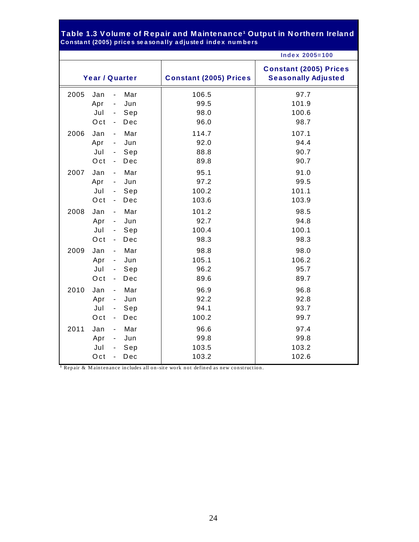#### **Consta nt (2005) price s se a sona lly a djuste d inde x num be rs Table 1.3 Volume of R epair and Maintenance¹ Output in N orthern Ireland**

|      |                |                          |     |                               | <b>Index 2005=100</b>                                       |
|------|----------------|--------------------------|-----|-------------------------------|-------------------------------------------------------------|
|      | Year / Quarter |                          |     | <b>Constant (2005) Prices</b> | <b>Constant (2005) Prices</b><br><b>Seasonally Adjusted</b> |
| 2005 | Jan            | $\blacksquare$           | Mar | 106.5                         | 97.7                                                        |
|      | Apr            | $\overline{\phantom{a}}$ | Jun | 99.5                          | 101.9                                                       |
|      | Jul            | $\sim$                   | Sep | 98.0                          | 100.6                                                       |
|      | Oct            | $\blacksquare$           | Dec | 96.0                          | 98.7                                                        |
| 2006 | Jan            | $\sim$                   | Mar | 114.7                         | 107.1                                                       |
|      | Apr            | $\blacksquare$           | Jun | 92.0                          | 94.4                                                        |
|      | Jul            | $\blacksquare$           | Sep | 88.8                          | 90.7                                                        |
|      | Oct            | $\blacksquare$           | Dec | 89.8                          | 90.7                                                        |
| 2007 | Jan            | $\blacksquare$           | Mar | 95.1                          | 91.0                                                        |
|      | Apr            | $\blacksquare$           | Jun | 97.2                          | 99.5                                                        |
|      | Jul            | $\sim 10$                | Sep | 100.2                         | 101.1                                                       |
|      | Oct            | $\blacksquare$           | Dec | 103.6                         | 103.9                                                       |
| 2008 | Jan            | $\sim$                   | Mar | 101.2                         | 98.5                                                        |
|      | Apr            | $\sim$                   | Jun | 92.7                          | 94.8                                                        |
|      | Jul            | $\sim$                   | Sep | 100.4                         | 100.1                                                       |
|      | Oct            | $\blacksquare$           | Dec | 98.3                          | 98.3                                                        |
| 2009 | Jan            | $\blacksquare$           | Mar | 98.8                          | 98.0                                                        |
|      | Apr            | $\blacksquare$           | Jun | 105.1                         | 106.2                                                       |
|      | Jul            | $\sim$                   | Sep | 96.2                          | 95.7                                                        |
|      | Oct            | $\sim$                   | Dec | 89.6                          | 89.7                                                        |
| 2010 | Jan            | $\sim$                   | Mar | 96.9                          | 96.8                                                        |
|      | Apr            | $\sim$                   | Jun | 92.2                          | 92.8                                                        |
|      | Jul            | $\sim$                   | Sep | 94.1                          | 93.7                                                        |
|      | Oct            | $\blacksquare$           | Dec | 100.2                         | 99.7                                                        |
| 2011 | Jan            | $\blacksquare$           | Mar | 96.6                          | 97.4                                                        |
|      | Apr            | $\blacksquare$           | Jun | 99.8                          | 99.8                                                        |
|      | Jul            |                          | Sep | 103.5                         | 103.2                                                       |
|      | Oct            | $\mathbf{r}$             | Dec | 103.2                         | 102.6                                                       |

**<sup>1</sup>** Repair & M aintenance includes all on-site work not defined as new construction.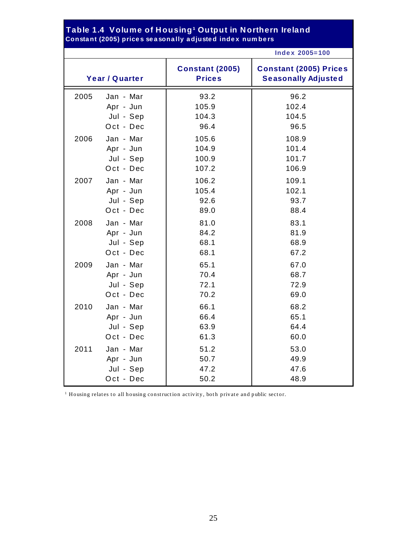#### **Consta nt (2005) price s se a sona lly a djuste d inde x num be rs Table 1.4 Volume of Housing¹ Output in Northern Ireland**

|      |                |                                         | <b>Index 2005=100</b>                                       |
|------|----------------|-----------------------------------------|-------------------------------------------------------------|
|      | Year / Quarter | <b>Constant (2005)</b><br><b>Prices</b> | <b>Constant (2005) Prices</b><br><b>Seasonally Adjusted</b> |
| 2005 | Jan - Mar      | 93.2                                    | 96.2                                                        |
|      | Apr - Jun      | 105.9                                   | 102.4                                                       |
|      | Jul - Sep      | 104.3                                   | 104.5                                                       |
|      | Oct - Dec      | 96.4                                    | 96.5                                                        |
| 2006 | Jan - Mar      | 105.6                                   | 108.9                                                       |
|      | Apr - Jun      | 104.9                                   | 101.4                                                       |
|      | Jul - Sep      | 100.9                                   | 101.7                                                       |
|      | Oct - Dec      | 107.2                                   | 106.9                                                       |
| 2007 | Jan - Mar      | 106.2                                   | 109.1                                                       |
|      | Apr - Jun      | 105.4                                   | 102.1                                                       |
|      | Jul - Sep      | 92.6                                    | 93.7                                                        |
|      | Oct - Dec      | 89.0                                    | 88.4                                                        |
| 2008 | Jan - Mar      | 81.0                                    | 83.1                                                        |
|      | Apr - Jun      | 84.2                                    | 81.9                                                        |
|      | Jul - Sep      | 68.1                                    | 68.9                                                        |
|      | Oct - Dec      | 68.1                                    | 67.2                                                        |
| 2009 | Jan - Mar      | 65.1                                    | 67.0                                                        |
|      | Apr - Jun      | 70.4                                    | 68.7                                                        |
|      | Jul - Sep      | 72.1                                    | 72.9                                                        |
|      | Oct - Dec      | 70.2                                    | 69.0                                                        |
| 2010 | Jan - Mar      | 66.1                                    | 68.2                                                        |
|      | Apr - Jun      | 66.4                                    | 65.1                                                        |
|      | Jul - Sep      | 63.9                                    | 64.4                                                        |
|      | Oct - Dec      | 61.3                                    | 60.0                                                        |
| 2011 | Jan - Mar      | 51.2                                    | 53.0                                                        |
|      | Apr - Jun      | 50.7                                    | 49.9                                                        |
|      | Jul - Sep      | 47.2                                    | 47.6                                                        |
|      | Oct - Dec      | 50.2                                    | 48.9                                                        |

1 Housing relates to all housing construction activity, both private and public sector.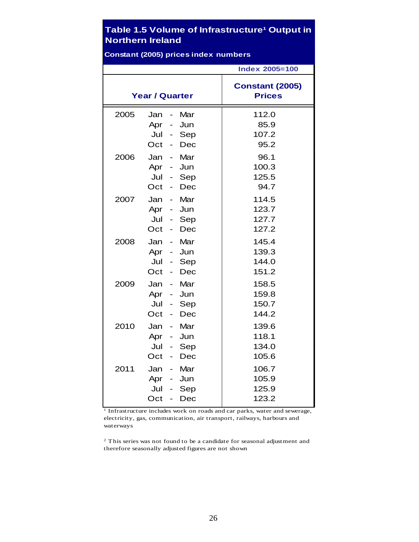### **Table 1.5 Volume of Infrastructure<sup>1</sup> Output in Northern Ireland**

|      | <b>Constant (2005) prices index numbers</b>                                                                                                                          |                                         |
|------|----------------------------------------------------------------------------------------------------------------------------------------------------------------------|-----------------------------------------|
|      |                                                                                                                                                                      | <b>Index 2005=100</b>                   |
|      | <b>Year / Quarter</b>                                                                                                                                                | <b>Constant (2005)</b><br><b>Prices</b> |
| 2005 | Jan<br>Mar<br>$\overline{\phantom{0}}$<br>Jun<br>Apr<br>$\overline{\phantom{0}}$<br>Jul<br>$\overline{\phantom{0}}$<br>Sep<br>Oct<br>Dec<br>$\overline{\phantom{0}}$ | 112.0<br>85.9<br>107.2<br>95.2          |
| 2006 | Mar<br>Jan<br>$\overline{a}$<br>Jun<br>Apr -<br>Jul<br>Sep<br>$\blacksquare$<br>Oct<br>Dec                                                                           | 96.1<br>100.3<br>125.5<br>94.7          |
| 2007 | Mar<br>Jan<br>$\overline{\phantom{0}}$<br>Apr -<br>Jun<br>Jul<br>$\blacksquare$<br>Sep<br>Oct<br>Dec<br>$\overline{\phantom{0}}$                                     | 114.5<br>123.7<br>127.7<br>127.2        |
| 2008 | Mar<br>Jan -<br>Apr -<br>Jun<br>Jul<br>Sep<br>$\qquad \qquad \blacksquare$<br>Oct<br>Dec<br>$\overline{a}$                                                           | 145.4<br>139.3<br>144.0<br>151.2        |
| 2009 | Mar<br>Jan<br>$\frac{1}{2}$<br>Apr<br>Jun<br>$\overline{\phantom{a}}$<br>Jul<br>Sep<br>$\overline{\phantom{0}}$<br>Oct<br>Dec<br>$\overline{\phantom{0}}$            | 158.5<br>159.8<br>150.7<br>144.2        |
| 2010 | Mar<br>Jan<br>$\overline{\phantom{a}}$<br>Apr<br>Jun<br>$\overline{\phantom{0}}$<br>Jul<br>Sep<br>$\qquad \qquad -$<br>Oct<br>Dec<br>$\qquad \qquad \blacksquare$    | 139.6<br>118.1<br>134.0<br>105.6        |
| 2011 | Jan<br>Mar<br>$\frac{1}{2}$<br>Apr<br>Jun<br>$\qquad \qquad -$<br>Jul<br>Sep<br>Oct<br>Dec<br>$\overline{\phantom{0}}$                                               | 106.7<br>105.9<br>125.9<br>123.2        |

1 Infrastructure includes work on roads and car parks, water and sewerage, electricity, gas, communication, air transport, railways, harbours and waterways

2 This series was not found to be a candidate for seasonal adjustment and therefore seasonally adjusted figures are not shown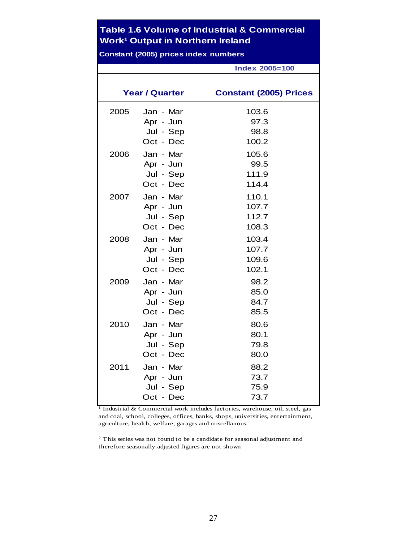### **Table 1.6 Volume of Industrial & Commercial Work<sup>1</sup> Output in Northern Ireland**

**Constant (2005) prices index numbers**

|      |                       | <b>Index 2005=100</b>         |
|------|-----------------------|-------------------------------|
|      | <b>Year / Quarter</b> | <b>Constant (2005) Prices</b> |
| 2005 | Jan - Mar             | 103.6                         |
|      | Apr - Jun             | 97.3                          |
|      | Jul - Sep             | 98.8                          |
|      | Oct - Dec             | 100.2                         |
| 2006 | Jan - Mar             | 105.6                         |
|      | Apr - Jun             | 99.5                          |
|      | Jul - Sep             | 111.9                         |
|      | Oct - Dec             | 114.4                         |
| 2007 | Jan - Mar             | 110.1                         |
|      | Apr - Jun             | 107.7                         |
|      | Jul - Sep             | 112.7                         |
|      | Oct - Dec             | 108.3                         |
| 2008 | Jan - Mar             | 103.4                         |
|      | Apr - Jun             | 107.7                         |
|      | Jul - Sep             | 109.6                         |
|      | Oct - Dec             | 102.1                         |
| 2009 | Jan - Mar             | 98.2                          |
|      | Apr - Jun             | 85.0                          |
|      | Jul - Sep             | 84.7                          |
|      | Oct - Dec             | 85.5                          |
| 2010 | Jan - Mar             | 80.6                          |
|      | Apr - Jun             | 80.1                          |
|      | Jul - Sep             | 79.8                          |
|      | Oct - Dec             | 80.0                          |
| 2011 | Jan - Mar             | 88.2                          |
|      | Apr - Jun             | 73.7                          |
|      | Jul - Sep             | 75.9                          |
|      | Oct - Dec             | 73.7                          |

<sup>1</sup> Industrial & Commercial work includes factories, warehouse, oil, steel, gas and coal, school, colleges, offices, banks, shops, universities, entertainment, agriculture, health, welfare, garages and miscellanous.

2 This series was not found to be a candidate for seasonal adjustment and therefore seasonally adjusted figures are not shown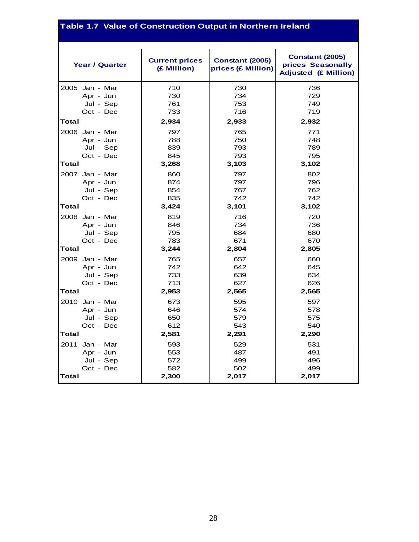# **Table 1.7 Value of Construction Output in Northern Ireland**

| <b>Year / Quarter</b> | <b>Current prices</b><br>(£ Million) | <b>Constant (2005)</b><br>prices (£ Million) | <b>Constant (2005)</b><br>prices Seasonally<br><b>Adjusted (£ Million)</b> |
|-----------------------|--------------------------------------|----------------------------------------------|----------------------------------------------------------------------------|
| 2005 Jan - Mar        | 710                                  | 730                                          | 736                                                                        |
| Apr - Jun             | 730                                  | 734                                          | 729                                                                        |
| Jul - Sep             | 761                                  | 753                                          | 749                                                                        |
| Oct - Dec             | 733                                  | 716                                          | 719                                                                        |
| Total                 | 2,934                                | 2,933                                        | 2,932                                                                      |
| 2006 Jan - Mar        | 797                                  | 765                                          | 771                                                                        |
| Apr - Jun             | 788                                  | 750                                          | 748                                                                        |
| Jul - Sep             | 839                                  | 793                                          | 789                                                                        |
| Oct - Dec             | 845                                  | 793                                          | 795                                                                        |
| Total                 | 3,268                                | 3,103                                        | 3,102                                                                      |
| 2007 Jan - Mar        | 860                                  | 797                                          | 802                                                                        |
| Apr - Jun             | 874                                  | 797                                          | 796                                                                        |
| Jul - Sep             | 854                                  | 767                                          | 762                                                                        |
| Oct - Dec             | 835                                  | 742                                          | 742                                                                        |
| Total                 | 3,424                                | 3,101                                        | 3,102                                                                      |
| 2008 Jan - Mar        | 819                                  | 716                                          | 720                                                                        |
| Apr - Jun             | 846                                  | 734                                          | 736                                                                        |
| Jul - Sep             | 795                                  | 684                                          | 680                                                                        |
| Oct - Dec             | 783                                  | 671                                          | 670                                                                        |
| Total                 | 3,244                                | 2,804                                        | 2,805                                                                      |
| 2009 Jan - Mar        | 765                                  | 657                                          | 660                                                                        |
| Apr - Jun             | 742                                  | 642                                          | 645                                                                        |
| Jul - Sep             | 733                                  | 639                                          | 634                                                                        |
| Oct - Dec             | 713                                  | 627                                          | 626                                                                        |
| Total                 | 2,953                                | 2,565                                        | 2,565                                                                      |
| 2010 Jan - Mar        | 673                                  | 595                                          | 597                                                                        |
| Apr - Jun             | 646                                  | 574                                          | 578                                                                        |
| Jul - Sep             | 650                                  | 579                                          | 575                                                                        |
| Oct - Dec             | 612                                  | 543                                          | 540                                                                        |
| Total                 | 2,581                                | 2,291                                        | 2,290                                                                      |
| 2011 Jan - Mar        | 593                                  | 529                                          | 531                                                                        |
| Apr - Jun             | 553                                  | 487                                          | 491                                                                        |
| Jul - Sep             | 572                                  | 499                                          | 496                                                                        |
| Oct - Dec             | 582                                  | 502                                          | 499                                                                        |
| Total                 | 2,300                                | 2,017                                        | 2,017                                                                      |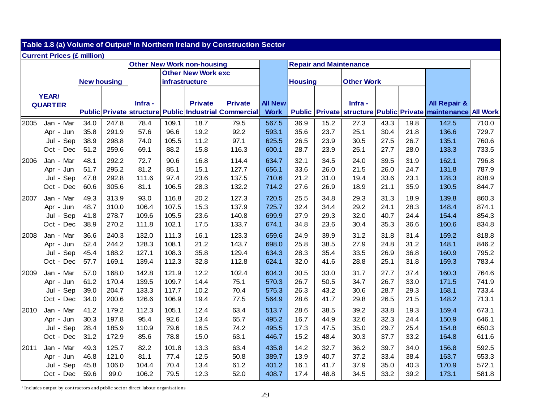|      | Table 1.8 (a) Volume of Output <sup>1</sup> in Northern Ireland by Construction Sector |                    |       |        |       |                                   |                                                       |                |                |      |                               |      |      |                                                     |                 |
|------|----------------------------------------------------------------------------------------|--------------------|-------|--------|-------|-----------------------------------|-------------------------------------------------------|----------------|----------------|------|-------------------------------|------|------|-----------------------------------------------------|-----------------|
|      | <b>Current Prices (£ million)</b>                                                      |                    |       |        |       |                                   |                                                       |                |                |      |                               |      |      |                                                     |                 |
|      |                                                                                        |                    |       |        |       | <b>Other New Work non-housing</b> |                                                       |                |                |      | <b>Repair and Maintenance</b> |      |      |                                                     |                 |
|      |                                                                                        |                    |       |        |       | <b>Other New Work exc</b>         |                                                       |                |                |      |                               |      |      |                                                     |                 |
|      |                                                                                        | <b>New housing</b> |       |        |       | infrastructure                    |                                                       |                | <b>Housing</b> |      | <b>Other Work</b>             |      |      |                                                     |                 |
|      | YEAR/                                                                                  |                    |       |        |       |                                   |                                                       |                |                |      |                               |      |      |                                                     |                 |
|      | <b>QUARTER</b>                                                                         |                    |       | Infra- |       | <b>Private</b>                    | <b>Private</b>                                        | <b>All New</b> |                |      | Infra-                        |      |      | <b>All Repair &amp;</b>                             |                 |
|      |                                                                                        |                    |       |        |       |                                   | Public Private structure Public Industrial Commercial | <b>Work</b>    |                |      |                               |      |      | Public Private structure Public Private maintenance | <b>All Work</b> |
| 2005 | Jan - Mar                                                                              | 34.0               | 247.8 | 78.4   | 109.1 | 18.7                              | 79.5                                                  | 567.5          | 36.9           | 15.2 | 27.3                          | 43.3 | 19.8 | 142.5                                               | 710.0           |
|      | Apr - Jun                                                                              | 35.8               | 291.9 | 57.6   | 96.6  | 19.2                              | 92.2                                                  | 593.1          | 35.6           | 23.7 | 25.1                          | 30.4 | 21.8 | 136.6                                               | 729.7           |
|      | Jul - Sep                                                                              | 38.9               | 298.8 | 74.0   | 105.5 | 11.2                              | 97.1                                                  | 625.5          | 26.5           | 23.9 | 30.5                          | 27.5 | 26.7 | 135.1                                               | 760.6           |
|      | Oct - Dec                                                                              | 51.2               | 259.6 | 69.1   | 88.2  | 15.8                              | 116.3                                                 | 600.1          | 28.7           | 23.9 | 25.1                          | 27.7 | 28.0 | 133.3                                               | 733.5           |
| 2006 | Jan - Mar                                                                              | 48.1               | 292.2 | 72.7   | 90.6  | 16.8                              | 114.4                                                 | 634.7          | 32.1           | 34.5 | 24.0                          | 39.5 | 31.9 | 162.1                                               | 796.8           |
|      | Apr - Jun                                                                              | 51.7               | 295.2 | 81.2   | 85.1  | 15.1                              | 127.7                                                 | 656.1          | 33.6           | 26.0 | 21.5                          | 26.0 | 24.7 | 131.8                                               | 787.9           |
|      | Sep<br>Jul -                                                                           | 47.8               | 292.8 | 111.6  | 97.4  | 23.6                              | 137.5                                                 | 710.6          | 21.2           | 31.0 | 19.4                          | 33.6 | 23.1 | 128.3                                               | 838.9           |
|      | Oct - Dec                                                                              | 60.6               | 305.6 | 81.1   | 106.5 | 28.3                              | 132.2                                                 | 714.2          | 27.6           | 26.9 | 18.9                          | 21.1 | 35.9 | 130.5                                               | 844.7           |
| 2007 | Jan - Mar                                                                              | 49.3               | 313.9 | 93.0   | 116.8 | 20.2                              | 127.3                                                 | 720.5          | 25.5           | 34.8 | 29.3                          | 31.3 | 18.9 | 139.8                                               | 860.3           |
|      | Apr - Jun                                                                              | 48.7               | 310.0 | 106.4  | 107.5 | 15.3                              | 137.9                                                 | 725.7          | 32.4           | 34.4 | 29.2                          | 24.1 | 28.3 | 148.4                                               | 874.1           |
|      | Jul - Sep                                                                              | 41.8               | 278.7 | 109.6  | 105.5 | 23.6                              | 140.8                                                 | 699.9          | 27.9           | 29.3 | 32.0                          | 40.7 | 24.4 | 154.4                                               | 854.3           |
|      | Oct - Dec                                                                              | 38.9               | 270.2 | 111.8  | 102.1 | 17.5                              | 133.7                                                 | 674.1          | 34.8           | 23.6 | 30.4                          | 35.3 | 36.6 | 160.6                                               | 834.8           |
| 2008 | Jan - Mar                                                                              | 36.6               | 240.3 | 132.0  | 111.3 | 16.1                              | 123.3                                                 | 659.6          | 24.9           | 39.9 | 31.2                          | 31.8 | 31.4 | 159.2                                               | 818.8           |
|      | Apr - Jun                                                                              | 52.4               | 244.2 | 128.3  | 108.1 | 21.2                              | 143.7                                                 | 698.0          | 25.8           | 38.5 | 27.9                          | 24.8 | 31.2 | 148.1                                               | 846.2           |
|      | Jul - Sep                                                                              | 45.4               | 188.2 | 127.1  | 108.3 | 35.8                              | 129.4                                                 | 634.3          | 28.3           | 35.4 | 33.5                          | 26.9 | 36.8 | 160.9                                               | 795.2           |
|      | Oct - Dec                                                                              | 57.7               | 169.1 | 139.4  | 112.3 | 32.8                              | 112.8                                                 | 624.1          | 32.0           | 41.6 | 28.8                          | 25.1 | 31.8 | 159.3                                               | 783.4           |
| 2009 | Jan - Mar                                                                              | 57.0               | 168.0 | 142.8  | 121.9 | 12.2                              | 102.4                                                 | 604.3          | 30.5           | 33.0 | 31.7                          | 27.7 | 37.4 | 160.3                                               | 764.6           |
|      | Apr - Jun                                                                              | 61.2               | 170.4 | 139.5  | 109.7 | 14.4                              | 75.1                                                  | 570.3          | 26.7           | 50.5 | 34.7                          | 26.7 | 33.0 | 171.5                                               | 741.9           |
|      | Jul - Sep                                                                              | 39.0               | 204.7 | 133.3  | 117.7 | 10.2                              | 70.4                                                  | 575.3          | 26.3           | 43.2 | 30.6                          | 28.7 | 29.3 | 158.1                                               | 733.4           |
|      | Oct - Dec                                                                              | 34.0               | 200.6 | 126.6  | 106.9 | 19.4                              | 77.5                                                  | 564.9          | 28.6           | 41.7 | 29.8                          | 26.5 | 21.5 | 148.2                                               | 713.1           |
| 2010 | Jan - Mar                                                                              | 41.2               | 179.2 | 112.3  | 105.1 | 12.4                              | 63.4                                                  | 513.7          | 28.6           | 38.5 | 39.2                          | 33.8 | 19.3 | 159.4                                               | 673.1           |
|      | Apr - Jun                                                                              | 30.3               | 197.8 | 95.4   | 92.6  | 13.4                              | 65.7                                                  | 495.2          | 16.7           | 44.9 | 32.6                          | 32.3 | 24.4 | 150.9                                               | 646.1           |
|      | Sep<br>Jul -                                                                           | 28.4               | 185.9 | 110.9  | 79.6  | 16.5                              | 74.2                                                  | 495.5          | 17.3           | 47.5 | 35.0                          | 29.7 | 25.4 | 154.8                                               | 650.3           |
|      | Oct - Dec                                                                              | 31.2               | 172.9 | 85.6   | 78.8  | 15.0                              | 63.1                                                  | 446.7          | 15.2           | 48.4 | 30.3                          | 37.7 | 33.2 | 164.8                                               | 611.6           |
| 2011 | Jan - Mar                                                                              | 49.3               | 125.7 | 82.2   | 101.8 | 13.3                              | 63.4                                                  | 435.8          | 14.2           | 32.7 | 36.2                          | 39.7 | 34.0 | 156.8                                               | 592.5           |
|      | Apr - Jun                                                                              | 46.8               | 121.0 | 81.1   | 77.4  | 12.5                              | 50.8                                                  | 389.7          | 13.9           | 40.7 | 37.2                          | 33.4 | 38.4 | 163.7                                               | 553.3           |
|      | Sep<br>Jul -                                                                           | 45.8               | 106.0 | 104.4  | 70.4  | 13.4                              | 61.2                                                  | 401.2          | 16.1           | 41.7 | 37.9                          | 35.0 | 40.3 | 170.9                                               | 572.1           |
|      | Oct - Dec                                                                              | 59.6               | 99.0  | 106.2  | 79.5  | 12.3                              | 52.0                                                  | 408.7          | 17.4           | 48.8 | 34.5                          | 33.2 | 39.2 | 173.1                                               | 581.8           |

<sup>1</sup> Includes output by contractors and public sector direct labour organisations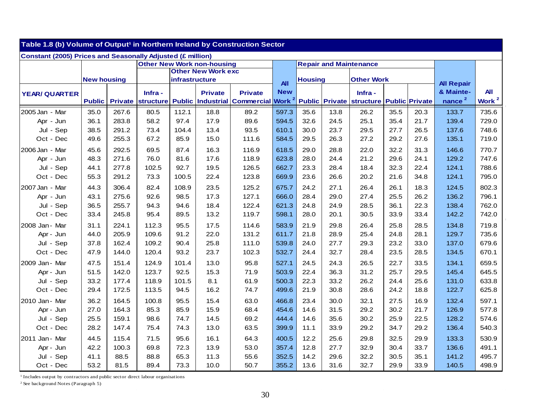| Table 1.8 (b) Volume of Output <sup>1</sup> in Northern Ireland by Construction Sector |                    |                |           |                       |                                   |                   |                   |                |      |                                 |      |                       |                    |                   |
|----------------------------------------------------------------------------------------|--------------------|----------------|-----------|-----------------------|-----------------------------------|-------------------|-------------------|----------------|------|---------------------------------|------|-----------------------|--------------------|-------------------|
| <b>Constant (2005) Prices and Seasonally Adjusted (£ million)</b>                      |                    |                |           |                       |                                   |                   |                   |                |      |                                 |      |                       |                    |                   |
|                                                                                        |                    |                |           |                       | <b>Other New Work non-housing</b> |                   |                   |                |      | <b>Repair and Maintenance</b>   |      |                       |                    |                   |
|                                                                                        |                    |                |           |                       | <b>Other New Work exc</b>         |                   |                   |                |      |                                 |      |                       |                    |                   |
|                                                                                        | <b>New housing</b> |                |           | <b>infrastructure</b> |                                   |                   | <b>All</b>        | <b>Housing</b> |      | <b>Other Work</b>               |      |                       | <b>All Repair</b>  |                   |
| <b>YEAR/ QUARTER</b>                                                                   |                    |                | Infra -   |                       | <b>Private</b>                    | <b>Private</b>    | <b>New</b>        |                |      | Infra -                         |      |                       | & Mainte-          | All               |
|                                                                                        | <b>Public</b>      | <b>Private</b> | structure |                       | <b>Public Industrial</b>          | <b>Commercial</b> | Work <sup>2</sup> |                |      | <b>Public Private structure</b> |      | <b>Public Private</b> | nance <sup>2</sup> | Work <sup>2</sup> |
| 2005 Jan - Mar                                                                         | 35.0               | 267.6          | 80.5      | 112.1                 | 18.8                              | 89.2              | 597.3             | 35.6           | 13.8 | 26.2                            | 35.5 | 20.3                  | 133.7              | 735.6             |
| Apr - Jun                                                                              | 36.1               | 283.8          | 58.2      | 97.4                  | 17.9                              | 89.6              | 594.5             | 32.6           | 24.5 | 25.1                            | 35.4 | 21.7                  | 139.4              | 729.0             |
| Jul - Sep                                                                              | 38.5               | 291.2          | 73.4      | 104.4                 | 13.4                              | 93.5              | 610.1             | 30.0           | 23.7 | 29.5                            | 27.7 | 26.5                  | 137.6              | 748.6             |
| Oct - Dec                                                                              | 49.6               | 255.3          | 67.2      | 85.9                  | 15.0                              | 111.6             | 584.5             | 29.5           | 26.3 | 27.2                            | 29.2 | 27.6                  | 135.1              | 719.0             |
| 2006 Jan - Mar                                                                         | 45.6               | 292.5          | 69.5      | 87.4                  | 16.3                              | 116.9             | 618.5             | 29.0           | 28.8 | 22.0                            | 32.2 | 31.3                  | 146.6              | 770.7             |
| Apr - Jun                                                                              | 48.3               | 271.6          | 76.0      | 81.6                  | 17.6                              | 118.9             | 623.8             | 28.0           | 24.4 | 21.2                            | 29.6 | 24.1                  | 129.2              | 747.6             |
| Jul - Sep                                                                              | 44.1               | 277.8          | 102.5     | 92.7                  | 19.5                              | 126.5             | 662.7             | 23.3           | 28.4 | 18.4                            | 32.3 | 22.4                  | 124.1              | 788.6             |
| Oct - Dec                                                                              | 55.3               | 291.2          | 73.3      | 100.5                 | 22.4                              | 123.8             | 669.9             | 23.6           | 26.6 | 20.2                            | 21.6 | 34.8                  | 124.1              | 795.0             |
| 2007 Jan<br>- Mar                                                                      | 44.3               | 306.4          | 82.4      | 108.9                 | 23.5                              | 125.2             | 675.7             | 24.2           | 27.1 | 26.4                            | 26.1 | 18.3                  | 124.5              | 802.3             |
| Apr - Jun                                                                              | 43.1               | 275.6          | 92.6      | 98.5                  | 17.3                              | 127.1             | 666.0             | 28.4           | 29.0 | 27.4                            | 25.5 | 26.2                  | 136.2              | 796.1             |
| Jul - Sep                                                                              | 36.5               | 255.7          | 94.3      | 94.6                  | 18.4                              | 122.4             | 621.3             | 24.8           | 24.9 | 28.5                            | 36.1 | 22.3                  | 138.4              | 762.0             |
| Oct - Dec                                                                              | 33.4               | 245.8          | 95.4      | 89.5                  | 13.2                              | 119.7             | 598.1             | 28.0           | 20.1 | 30.5                            | 33.9 | 33.4                  | 142.2              | 742.0             |
| 2008 Jan - Mar                                                                         | 31.1               | 224.1          | 112.3     | 95.5                  | 17.5                              | 114.6             | 583.9             | 21.9           | 29.8 | 26.4                            | 25.8 | 28.5                  | 134.8              | 719.8             |
| Apr - Jun                                                                              | 44.0               | 205.9          | 109.6     | 91.2                  | 22.0                              | 131.2             | 611.7             | 21.8           | 28.9 | 25.4                            | 24.8 | 28.1                  | 129.7              | 735.6             |
| Jul - Sep                                                                              | 37.8               | 162.4          | 109.2     | 90.4                  | 25.8                              | 111.0             | 539.8             | 24.0           | 27.7 | 29.3                            | 23.2 | 33.0                  | 137.0              | 679.6             |
| Oct - Dec                                                                              | 47.9               | 144.0          | 120.4     | 93.2                  | 23.7                              | 102.3             | 532.7             | 24.4           | 32.7 | 28.4                            | 23.5 | 28.5                  | 134.5              | 670.1             |
| 2009 Jan - Mar                                                                         | 47.5               | 151.4          | 124.9     | 101.4                 | 13.0                              | 95.8              | 527.1             | 24.5           | 24.3 | 26.5                            | 22.7 | 33.5                  | 134.1              | 659.5             |
| Apr - Jun                                                                              | 51.5               | 142.0          | 123.7     | 92.5                  | 15.3                              | 71.9              | 503.9             | 22.4           | 36.3 | 31.2                            | 25.7 | 29.5                  | 145.4              | 645.5             |
| Jul - Sep                                                                              | 33.2               | 177.4          | 118.9     | 101.5                 | 8.1                               | 61.9              | 500.3             | 22.3           | 33.2 | 26.2                            | 24.4 | 25.6                  | 131.0              | 633.8             |
| Oct - Dec                                                                              | 29.4               | 172.5          | 113.5     | 94.5                  | 16.2                              | 74.7              | 499.6             | 21.9           | 30.8 | 28.6                            | 24.2 | 18.8                  | 122.7              | 625.8             |
| 2010 Jan - Mar                                                                         | 36.2               | 164.5          | 100.8     | 95.5                  | 15.4                              | 63.0              | 466.8             | 23.4           | 30.0 | 32.1                            | 27.5 | 16.9                  | 132.4              | 597.1             |
| Apr - Jun                                                                              | 27.0               | 164.3          | 85.3      | 85.9                  | 15.9                              | 68.4              | 454.6             | 14.6           | 31.5 | 29.2                            | 30.2 | 21.7                  | 126.9              | 577.8             |
| Jul - Sep                                                                              | 25.5               | 159.1          | 98.6      | 74.7                  | 14.5                              | 69.2              | 444.4             | 14.6           | 35.6 | 30.2                            | 25.9 | 22.5                  | 128.2              | 574.6             |
| Oct - Dec                                                                              | 28.2               | 147.4          | 75.4      | 74.3                  | 13.0                              | 63.5              | 399.9             | 11.1           | 33.9 | 29.2                            | 34.7 | 29.2                  | 136.4              | 540.3             |
| 2011 Jan - Mar                                                                         | 44.5               | 115.4          | 71.5      | 95.6                  | 16.1                              | 64.3              | 400.5             | 12.2           | 25.6 | 29.8                            | 32.5 | 29.9                  | 133.3              | 530.9             |
| Apr - Jun                                                                              | 42.2               | 100.3          | 69.8      | 72.3                  | 13.9                              | 53.0              | 357.4             | 12.8           | 27.7 | 32.9                            | 30.4 | 33.7                  | 136.6              | 491.1             |
| Sep<br>Jul                                                                             | 41.1               | 88.5           | 88.8      | 65.3                  | 11.3                              | 55.6              | 352.5             | 14.2           | 29.6 | 32.2                            | 30.5 | 35.1                  | 141.2              | 495.7             |
| Oct - Dec                                                                              | 53.2               | 81.5           | 89.4      | 73.3                  | 10.0                              | 50.7              | 355.2             | 13.6           | 31.6 | 32.7                            | 29.9 | 33.9                  | 140.5              | 498.9             |

 $1$  Includes output by contractors and public sector direct labour organisations

2 See background Notes (Paragraph 5)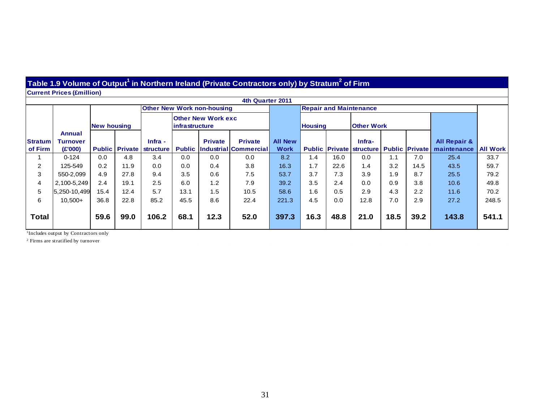#### **Table 1.9 Volume of Output1 in Northern Ireland (Private Contractors only) by Stratum2 of Firm**

**Current Prices (£million)**

|                           | 4th Quarter 2011                     |      |      |                                              |      |                                   |                                                       |                               |                   |      |                                                                  |      |      |                                        |                 |
|---------------------------|--------------------------------------|------|------|----------------------------------------------|------|-----------------------------------|-------------------------------------------------------|-------------------------------|-------------------|------|------------------------------------------------------------------|------|------|----------------------------------------|-----------------|
|                           |                                      |      |      |                                              |      | <b>Other New Work non-housing</b> |                                                       |                               |                   |      | <b>Repair and Maintenance</b>                                    |      |      |                                        |                 |
|                           | <b>New housing</b>                   |      |      | <b>Other New Work exc</b><br>infrastructure  |      |                                   | <b>Housing</b>                                        |                               | <b>Other Work</b> |      |                                                                  |      |      |                                        |                 |
| <b>Stratum</b><br>of Firm | Annual<br><b>Turnover</b><br>(E'000) |      |      | $Infra -$<br><b>Public Private structure</b> |      | <b>Private</b>                    | <b>Private</b><br><b>Public Industrial Commercial</b> | <b>All New</b><br><b>Work</b> |                   |      | Infra-<br><b>Public Private   structure   Public   Private  </b> |      |      | <b>All Repair &amp;</b><br>maintenance | <b>All Work</b> |
|                           | $0 - 124$                            | 0.0  | 4.8  | 3.4                                          | 0.0  | 0.0                               | 0.0                                                   | 8.2                           | 1.4               | 16.0 | 0.0                                                              | 1.1  | 7.0  | 25.4                                   | 33.7            |
| 2                         | 125-549                              | 0.2  | 11.9 | 0.0                                          | 0.0  | 0.4                               | 3.8                                                   | 16.3                          | 1.7               | 22.6 | 1.4                                                              | 3.2  | 14.5 | 43.5                                   | 59.7            |
| 3                         | 550-2,099                            | 4.9  | 27.8 | 9.4                                          | 3.5  | 0.6                               | 7.5                                                   | 53.7                          | 3.7               | 7.3  | 3.9                                                              | 1.9  | 8.7  | 25.5                                   | 79.2            |
| 4                         | 2,100-5,249                          | 2.4  | 19.1 | 2.5                                          | 6.0  | 1.2                               | 7.9                                                   | 39.2                          | 3.5               | 2.4  | 0.0                                                              | 0.9  | 3.8  | 10.6                                   | 49.8            |
| 5                         | 5,250-10,499                         | 15.4 | 12.4 | 5.7                                          | 13.1 | 1.5                               | 10.5                                                  | 58.6                          | 1.6               | 0.5  | 2.9                                                              | 4.3  | 2.2  | 11.6                                   | 70.2            |
| 6                         | $10,500+$                            | 36.8 | 22.8 | 85.2                                         | 45.5 | 8.6                               | 22.4                                                  | 221.3                         | 4.5               | 0.0  | 12.8                                                             | 7.0  | 2.9  | 27.2                                   | 248.5           |
| Total                     |                                      | 59.6 | 99.0 | 106.2                                        | 68.1 | 12.3                              | 52.0                                                  | 397.3                         | 16.3              | 48.8 | 21.0                                                             | 18.5 | 39.2 | 143.8                                  | 541.1           |

<sup>1</sup>Includes output by Contractors only

2 Firms are stratified by turnover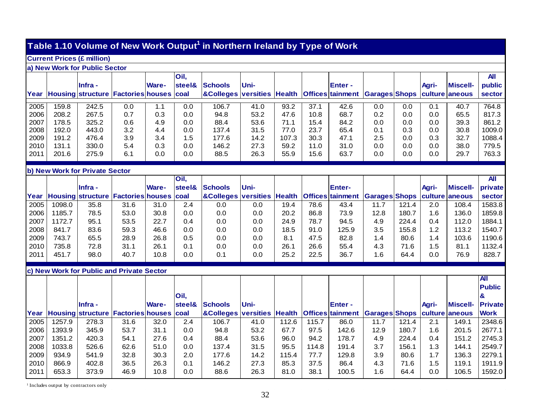# **Table 1.10 Volume of New Work Output1 in Northern Ireland by Type of Work**

#### **Current Prices (£ million)**

#### **a) New Work for Public Sector**

|      |       |                                                        |     |              | Oil,   |                                                                                                   |       |       |      |               |     |     |              |                 | <b>All</b> |
|------|-------|--------------------------------------------------------|-----|--------------|--------|---------------------------------------------------------------------------------------------------|-------|-------|------|---------------|-----|-----|--------------|-----------------|------------|
|      |       | lInfra -                                               |     | <b>Ware-</b> | steel& | <b>Schools</b>                                                                                    | lUni- |       |      | <b>Enter-</b> |     |     | <b>Agri-</b> | <b>Miscell-</b> | public     |
|      |       | Year   Housing   structure   Factories   houses   coal |     |              |        | <b> &amp;Colleges  versities  Health  Offices   tainment   Garages   Shops   culture   aneous</b> |       |       |      |               |     |     |              |                 | sector     |
|      |       |                                                        |     |              |        |                                                                                                   |       |       |      |               |     |     |              |                 |            |
| 2005 | 159.8 | 242.5                                                  | 0.0 |              | 0.0    | 106.7                                                                                             | 41.0  | 93.2  | 37.1 | 42.6          | 0.0 | 0.0 | 0.1          | 40.7            | 764.8      |
| 2006 | 208.2 | 267.5                                                  | 0.7 | 0.3          | 0.0    | 94.8                                                                                              | 53.2  | 47.6  | 10.8 | 68.7          | 0.2 | 0.0 | 0.0          | 65.5            | 817.3      |
| 2007 | 178.5 | 325.2                                                  | 0.6 | 4.9          | 0.0    | 88.4                                                                                              | 53.6  | 71.1  | 15.4 | 84.2          | 0.0 | 0.0 | 0.0          | 39.3            | 861.2      |
| 2008 | 192.0 | 443.0                                                  | 3.2 | 4.4          | 0.0    | 137.4                                                                                             | 31.5  | 77.0  | 23.7 | 65.4          | 0.1 | 0.3 | 0.0          | 30.8            | 1009.0     |
| 2009 | 191.2 | 476.4                                                  | 3.9 | 3.4          | 1.5    | 177.6                                                                                             | 14.2  | 107.3 | 30.3 | 47.1          | 2.5 | 0.0 | 0.3          | 32.7            | 1088.4     |
| 2010 | 131.1 | 330.0                                                  | 5.4 | 0.3          | 0.0    | 146.2                                                                                             | 27.3  | 59.2  | 11.0 | 31.0          | 0.0 | 0.0 | 0.0          | 38.0            | 779.5      |
| 2011 | 201.6 | 275.9                                                  | 6.1 | 0.0          | 0.0    | 88.5                                                                                              | 26.3  | 55.9  | 15.6 | 63.7          | 0.0 | 0.0 | 0.0          | 29.7            | 763.3      |

#### **b) New Work for Private Sector**

|      |        |                                           |      |              | Oil,   |                            |      |       |       |                         |                      |       |              |                 | <b>All</b>     |
|------|--------|-------------------------------------------|------|--------------|--------|----------------------------|------|-------|-------|-------------------------|----------------------|-------|--------------|-----------------|----------------|
|      |        | <b>Infra</b> -                            |      | <b>Ware-</b> | steel& | <b>Schools</b>             | Uni- |       |       | <b>Enter-</b>           |                      |       | Agri-        | <b>Miscell-</b> | private        |
| Year |        | Housing structure Factories houses coal   |      |              |        | &Colleges versities Health |      |       |       | <b>Offices</b> tainment | <b>Garages Shops</b> |       |              | culture aneous  | sector         |
| 2005 | 1098.0 | 35.8                                      | 31.6 | 31.0         | 2.4    | 0.0                        | 0.0  | 19.4  | 78.6  | 43.4                    | 11.7                 | 121.4 | 2.0          | 108.4           | 1583.8         |
| 2006 | 1185.7 | 78.5                                      | 53.0 | 30.8         | 0.0    | 0.0                        | 0.0  | 20.2  | 86.8  | 73.9                    | 12.8                 | 180.7 | 1.6          | 136.0           | 1859.8         |
| 2007 | 1172.7 | 95.1                                      | 53.5 | 22.7         | 0.4    | 0.0                        | 0.0  | 24.9  | 78.7  | 94.5                    | 4.9                  | 224.4 | 0.4          | 112.0           | 1884.1         |
| 2008 | 841.7  | 83.6                                      | 59.3 | 46.6         | 0.0    | 0.0                        | 0.0  | 18.5  | 91.0  | 125.9                   | 3.5                  | 155.8 | 1.2          | 113.2           | 1540.7         |
| 2009 | 743.7  | 65.5                                      | 28.9 | 26.8         | 0.5    | 0.0                        | 0.0  | 8.1   | 47.5  | 82.8                    | 1.4                  | 80.6  | 1.4          | 103.6           | 1190.6         |
| 2010 | 735.8  | 72.8                                      | 31.1 | 26.1         | 0.1    | 0.0                        | 0.0  | 26.1  | 26.6  | 55.4                    | 4.3                  | 71.6  | 1.5          | 81.1            | 1132.4         |
| 2011 | 451.7  | 98.0                                      | 40.7 | 10.8         | 0.0    | 0.1                        | 0.0  | 25.2  | 22.5  | 36.7                    | 1.6                  | 64.4  | 0.0          | 76.9            | 828.7          |
|      |        |                                           |      |              |        |                            |      |       |       |                         |                      |       |              |                 |                |
|      |        | c) New Work for Public and Private Sector |      |              |        |                            |      |       |       |                         |                      |       |              |                 |                |
|      |        |                                           |      |              |        |                            |      |       |       |                         |                      |       |              |                 | IN             |
|      |        |                                           |      |              |        |                            |      |       |       |                         |                      |       |              |                 | <b>Public</b>  |
|      |        |                                           |      |              | Oil,   |                            |      |       |       |                         |                      |       |              |                 | $\mathbf{g}$   |
|      |        | <b>Infra</b> -                            |      | <b>Ware-</b> | steel& | <b>Schools</b>             | Uni- |       |       | Enter -                 |                      |       | <b>Agri-</b> | <b>Miscell-</b> | <b>Private</b> |
| Year |        | Housing structure Factories houses        |      |              | coal   | &Colleges versities Health |      |       |       | <b>Offices</b> tainment | <b>Garages Shops</b> |       |              | culture aneous  | <b>Work</b>    |
| 2005 | 1257.9 | 278.3                                     | 31.6 | 32.0         | 2.4    | 106.7                      | 41.0 | 112.6 | 115.7 | 86.0                    | 11.7                 | 121.4 | 2.1          | 149.1           | 2348.6         |
| 2006 | 1393.9 | 345.9                                     | 53.7 | 31.1         | 0.0    | 94.8                       | 53.2 | 67.7  | 97.5  | 142.6                   | 12.9                 | 180.7 | 1.6          | 201.5           | 2677.1         |
| 2007 | 1351.2 | 420.3                                     | 54.1 | 27.6         | 0.4    | 88.4                       | 53.6 | 96.0  | 94.2  | 178.7                   | 4.9                  | 224.4 | 0.4          | 151.2           | 2745.3         |
| 2008 | 1033.8 | 526.6                                     | 62.6 | 51.0         | 0.0    | 137.4                      | 31.5 | 95.5  | 114.8 | 191.4                   | 3.7                  | 156.1 | 1.3          | 144.1           | 2549.7         |
| 2009 | 934.9  | 541.9                                     | 32.8 | 30.3         | 2.0    | 177.6                      | 14.2 | 115.4 | 77.7  | 129.8                   | 3.9                  | 80.6  | 1.7          | 136.3           | 2279.1         |

<sup>1</sup> Includes output by contractors only

2010 | 866.9 | 402.8 | 36.5 | 26.3 | 0.1 | 146.2 | 27.3 | 85.3 | 37.5 | 86.4 | 4.3 | 71.6 | 1.5 | 119.1 |1911.9

2011 653.3 I 373.9 I 46.9 I 10.8 I 0.0 I 88.6 I 26.3 I 81.0 I 38.1 I 100.5 I 1.6 I 64.4 I 0.0 I 106.5 I1592.0

1911.9

1592.0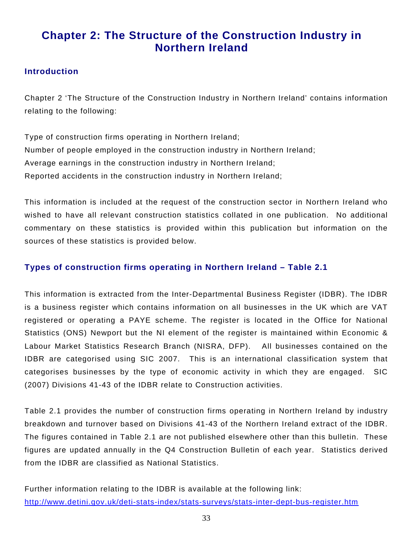# **Chapter 2: The Structure of the Construction Industry in Northern Ireland**

#### **Introduction**

Chapter 2 'The Structure of the Construction Industry in Northern Ireland' contains information relating to the following:

Type of construction firms operating in Northern Ireland; Number of people employed in the construction industry in Northern Ireland; Average earnings in the construction industry in Northern Ireland; Reported accidents in the construction industry in Northern Ireland;

This information is included at the request of the construction sector in Northern Ireland who wished to have all relevant construction statistics collated in one publication. No additional commentary on these statistics is provided within this publication but information on the sources of these statistics is provided below.

#### **Types of construction firms operating in Northern Ireland – Table 2.1**

This information is extracted from the Inter-Departmental Business Register (IDBR). The IDBR is a business register which contains information on all businesses in the UK which are VAT registered or operating a PAYE scheme. The register is located in the Office for National Statistics (ONS) Newport but the NI element of the register is maintained within Economic & Labour Market Statistics Research Branch (NISRA, DFP). All businesses contained on the IDBR are categorised using SIC 2007. This is an international classification system that categorises businesses by the type of economic activity in which they are engaged. SIC (2007) Divisions 41-43 of the IDBR relate to Construction activities.

Table 2.1 provides the number of construction firms operating in Northern Ireland by industry breakdown and turnover based on Divisions 41-43 of the Northern Ireland extract of the IDBR. The figures contained in Table 2.1 are not published elsewhere other than this bulletin. These figures are updated annually in the Q4 Construction Bulletin of each year. Statistics derived from the IDBR are classified as National Statistics.

Further information relating to the IDBR is available at the following link: <http://www.detini.gov.uk/deti-stats-index/stats-surveys/stats-inter-dept-bus-register.htm>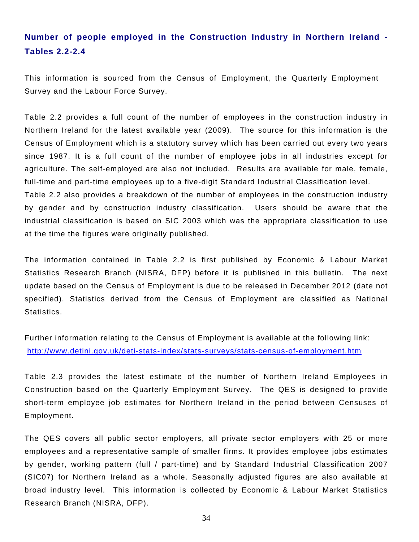# **Number of people employed in the Construction Industry in Northern Ireland - Tables 2.2-2.4**

This information is sourced from the Census of Employment, the Quarterly Employment Survey and the Labour Force Survey.

Table 2.2 provides a full count of the number of employees in the construction industry in Northern Ireland for the latest available year (2009). The source for this information is the Census of Employment which is a statutory survey which has been carried out every two years since 1987. It is a full count of the number of employee jobs in all industries except for agriculture. The self-employed are also not included. Results are available for male, female, full-time and part-time employees up to a five-digit Standard Industrial Classification level. Table 2.2 also provides a breakdown of the number of employees in the construction industry by gender and by construction industry classification. Users should be aware that the industrial classification is based on SIC 2003 which was the appropriate classification to use at the time the figures were originally published.

The information contained in Table 2.2 is first published by Economic & Labour Market Statistics Research Branch (NISRA, DFP) before it is published in this bulletin. The next update based on the Census of Employment is due to be released in December 2012 (date not specified). Statistics derived from the Census of Employment are classified as National Statistics.

Further information relating to the Census of Employment is available at the following link: <http://www.detini.gov.uk/deti-stats-index/stats-surveys/stats-census-of-employment.htm>

Table 2.3 provides the latest estimate of the number of Northern Ireland Employees in Construction based on the Quarterly Employment Survey. The QES is designed to provide short-term employee job estimates for Northern Ireland in the period between Censuses of Employment.

The QES covers all public sector employers, all private sector employers with 25 or more employees and a representative sample of smaller firms. It provides employee jobs estimates by gender, working pattern (full / part-time) and by Standard Industrial Classification 2007 (SIC07) for Northern Ireland as a whole. Seasonally adjusted figures are also available at broad industry level. This information is collected by Economic & Labour Market Statistics Research Branch (NISRA, DFP).

34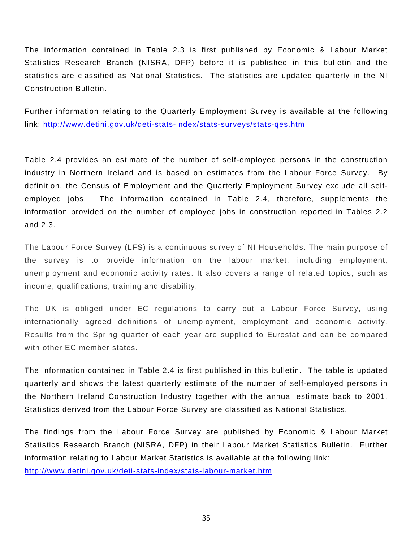The information contained in Table 2.3 is first published by Economic & Labour Market Statistics Research Branch (NISRA, DFP) before it is published in this bulletin and the statistics are classified as National Statistics. The statistics are updated quarterly in the NI Construction Bulletin.

Further information relating to the Quarterly Employment Survey is available at the following link: <http://www.detini.gov.uk/deti-stats-index/stats-surveys/stats-qes.htm>

Table 2.4 provides an estimate of the number of self-employed persons in the construction industry in Northern Ireland and is based on estimates from the Labour Force Survey. By definition, the Census of Employment and the Quarterly Employment Survey exclude all selfemployed jobs. The information contained in Table 2.4, therefore, supplements the information provided on the number of employee jobs in construction reported in Tables 2.2 and 2.3.

The Labour Force Survey (LFS) is a continuous survey of NI Households. The main purpose of the survey is to provide information on the labour market, including employment, unemployment and economic activity rates. It also covers a range of related topics, such as income, qualifications, training and disability.

The UK is obliged under EC regulations to carry out a Labour Force Survey, using internationally agreed definitions of unemployment, employment and economic activity. Results from the Spring quarter of each year are supplied to Eurostat and can be compared with other EC member states.

The information contained in Table 2.4 is first published in this bulletin. The table is updated quarterly and shows the latest quarterly estimate of the number of self-employed persons in the Northern Ireland Construction Industry together with the annual estimate back to 2001. Statistics derived from the Labour Force Survey are classified as National Statistics.

The findings from the Labour Force Survey are published by Economic & Labour Market Statistics Research Branch (NISRA, DFP) in their Labour Market Statistics Bulletin. Further information relating to Labour Market Statistics is available at the following link:

<http://www.detini.gov.uk/deti-stats-index/stats-labour-market.htm>

35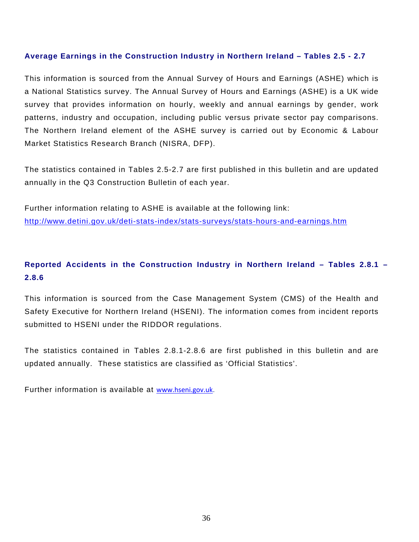#### **Average Earnings in the Construction Industry in Northern Ireland – Tables 2.5 - 2.7**

This information is sourced from the Annual Survey of Hours and Earnings (ASHE) which is a National Statistics survey. The Annual Survey of Hours and Earnings (ASHE) is a UK wide survey that provides information on hourly, weekly and annual earnings by gender, work patterns, industry and occupation, including public versus private sector pay comparisons. The Northern Ireland element of the ASHE survey is carried out by Economic & Labour Market Statistics Research Branch (NISRA, DFP).

The statistics contained in Tables 2.5-2.7 are first published in this bulletin and are updated annually in the Q3 Construction Bulletin of each year.

Further information relating to ASHE is available at the following link: <http://www.detini.gov.uk/deti-stats-index/stats-surveys/stats-hours-and-earnings.htm>

### **Reported Accidents in the Construction Industry in Northern Ireland – Tables 2.8.1 – 2.8.6**

This information is sourced from the Case Management System (CMS) of the Health and Safety Executive for Northern Ireland (HSENI). The information comes from incident reports submitted to HSENI under the RIDDOR regulations.

The statistics contained in Tables 2.8.1-2.8.6 are first published in this bulletin and are updated annually. These statistics are classified as 'Official Statistics'.

Further information is available at [www.hseni.gov.uk](http://www.hseni.gov.uk/).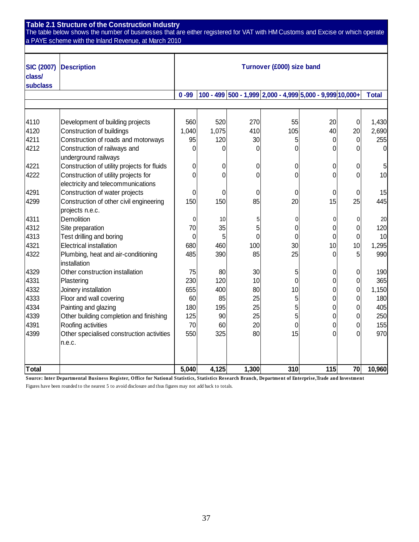**Table 2.1 Structure of the Construction Industry**

The table below shows the number of businesses that are either registered for VAT with HM Customs and Excise or which operate a PAYE scheme with the Inland Revenue, at March 2010

| <b>SIC (2007)</b><br>class/<br><b>subclass</b> | <b>Description</b>                                  |          |                |                | Turnover (£000) size band                                 |     |                |              |
|------------------------------------------------|-----------------------------------------------------|----------|----------------|----------------|-----------------------------------------------------------|-----|----------------|--------------|
|                                                |                                                     | $0 - 99$ |                |                | 100 - 499 500 - 1,999 2,000 - 4,999 5,000 - 9,999 10,000+ |     |                | <b>Total</b> |
|                                                |                                                     |          |                |                |                                                           |     |                |              |
|                                                |                                                     |          |                |                |                                                           |     |                |              |
| 4110                                           | Development of building projects                    | 560      | 520            | 270            | 55                                                        | 20  | $\overline{0}$ | 1,430        |
| 4120                                           | Construction of buildings                           | 1,040    | 1,075          | 410            | 105                                                       | 40  | 20             | 2,690        |
| 4211                                           | Construction of roads and motorways                 | 95       | 120            | 30             | 5                                                         | 0   | $\overline{0}$ | 255          |
| 4212                                           | Construction of railways and                        | 0        | 0              | 0              | 0                                                         | 0   | 0              | $\Omega$     |
|                                                | underground railways                                |          |                |                |                                                           |     |                |              |
| 4221                                           | Construction of utility projects for fluids         | 0        | 0              | 0              | 0                                                         | 0   | 0              | 5            |
| 4222                                           | Construction of utility projects for                | $\Omega$ | $\overline{0}$ | $\overline{0}$ | 0                                                         | 0   | $\overline{0}$ | 10           |
|                                                | electricity and telecommunications                  |          |                |                |                                                           |     |                |              |
| 4291                                           | Construction of water projects                      | 0        | 0              | $\mathbf 0$    | 0                                                         | 0   | 0              | 15           |
| 4299                                           | Construction of other civil engineering             | 150      | 150            | 85             | 20                                                        | 15  | 25             | 445          |
|                                                | projects n.e.c.                                     |          |                |                |                                                           |     |                |              |
| 4311                                           | Demolition                                          | 0        | 10             | 5              | 0                                                         | 0   | 0              | 20           |
| 4312                                           | Site preparation                                    | 70       | 35             | 5              | $\overline{0}$                                            | 0   | 0              | 120          |
| 4313                                           | Test drilling and boring                            | 0        | 5 <sup>1</sup> | $\mathbf 0$    | $\overline{0}$                                            | 0   | 0              | 10           |
| 4321                                           | <b>Electrical installation</b>                      | 680      | 460            | 100            | 30 <sup>°</sup>                                           | 10  | 10             | 1,295        |
| 4322                                           | Plumbing, heat and air-conditioning<br>installation | 485      | 390            | 85             | 25                                                        | 0   | 5              | 990          |
| 4329                                           | Other construction installation                     | 75       | 80             | 30             | 5                                                         | 0   | 0              | 190          |
| 4331                                           | Plastering                                          | 230      | 120            | 10             | $\mathbf 0$                                               | 0   | 0              | 365          |
| 4332                                           | Joinery installation                                | 655      | 400            | 80             | 10                                                        | 0   | $\overline{0}$ | 1,150        |
| 4333                                           | Floor and wall covering                             | 60       | 85             | 25             | 5                                                         | 0   | 0              | 180          |
| 4334                                           | Painting and glazing                                | 180      | 195            | 25             | 5                                                         | 0   | 0              | 405          |
| 4339                                           | Other building completion and finishing             | 125      | 90             | 25             | 5                                                         | 0   | 0              | 250          |
| 4391                                           | Roofing activities                                  | 70       | 60             | 20             | 0                                                         | 0   | 0              | 155          |
| 4399                                           | Other specialised construction activities           | 550      | 325            | 80             | 15                                                        | 0   | 0              | 970          |
|                                                | n.e.c.                                              |          |                |                |                                                           |     |                |              |
|                                                |                                                     |          |                |                |                                                           |     |                |              |
| <b>Total</b>                                   |                                                     | 5,040    | 4,125          | 1,300          | 310                                                       | 115 | 70             | 10,960       |

**Source: Inter Departmental Business Register, O ffice for National Statistics, Statistics Research Branch, Department of Enterprise,Trade and Investment**

Figures have been rounded to the nearest 5 to avoid disclosure and thus figures may not add back to totals.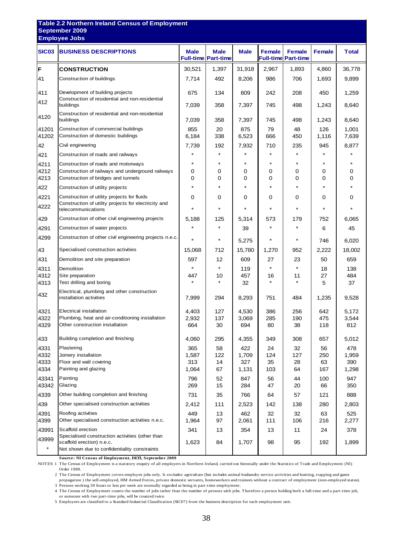| <b>SIC03</b><br><b>BUSINESS DESCRIPTIONS</b><br>F<br><b>CONSTRUCTION</b><br>41<br>Construction of buildings<br>Development of building projects<br>411  | <b>Male</b><br>30,521<br>7,714<br>675<br>7,039<br>7,039 | Male<br><b>Full-time Part-time</b><br>1,397<br>492<br>134<br>358 | <b>Male</b><br>31,918<br>8,206<br>809 | <b>Female</b><br><b>Full-time</b><br>2,967<br>986<br>242 | <b>Female</b><br><b>Part-time</b><br>1,893<br>706 | <b>Female</b><br>4,860 | <b>Total</b><br>36,778 |
|---------------------------------------------------------------------------------------------------------------------------------------------------------|---------------------------------------------------------|------------------------------------------------------------------|---------------------------------------|----------------------------------------------------------|---------------------------------------------------|------------------------|------------------------|
|                                                                                                                                                         |                                                         |                                                                  |                                       |                                                          |                                                   |                        |                        |
|                                                                                                                                                         |                                                         |                                                                  |                                       |                                                          |                                                   |                        |                        |
|                                                                                                                                                         |                                                         |                                                                  |                                       |                                                          |                                                   | 1,693                  | 9,899                  |
|                                                                                                                                                         |                                                         |                                                                  |                                       |                                                          | 208                                               | 450                    | 1,259                  |
| Construction of residential and non-residential<br>412<br>buildings                                                                                     |                                                         |                                                                  | 7,397                                 | 745                                                      | 498                                               | 1,243                  | 8,640                  |
| Construction of residential and non-residential<br>4120<br>buildings                                                                                    |                                                         | 358                                                              | 7,397                                 | 745                                                      | 498                                               | 1,243                  | 8,640                  |
| Construction of commercial buildings<br>41201<br>41202<br>Construction of domestic buildings                                                            | 855<br>6,184                                            | 20<br>338                                                        | 875<br>6,523                          | 79<br>666                                                | 48<br>450                                         | 126<br>1,116           | 1,001<br>7,639         |
| 42<br>Civil engineering                                                                                                                                 | 7,739                                                   | 192                                                              | 7,932                                 | 710                                                      | 235                                               | 945                    | 8,877                  |
| Construction of roads and railways<br>421                                                                                                               |                                                         |                                                                  |                                       |                                                          |                                                   |                        |                        |
| 4211<br>Construction of roads and motorways<br>Construction of railways and underground railways<br>4212<br>Construction of bridges and tunnels<br>4213 | $\star$<br>0<br>0                                       | $\star$<br>0<br>0                                                | $\star$<br>0<br>0                     | $\star$<br>0<br>0                                        | $\star$<br>0<br>0                                 | $\star$<br>0<br>0      | 0<br>0                 |
| 422<br>Construction of utility projects                                                                                                                 | $\star$                                                 | $\star$                                                          | $\star$                               | $\star$                                                  | $\star$                                           | $\star$                |                        |
| Construction of utility projects for fluids<br>4221                                                                                                     | 0                                                       | 0                                                                | 0                                     | 0                                                        | 0                                                 | 0                      | 0                      |
| Construction of utility projects for electricity and<br>4222<br>telecommunications                                                                      |                                                         | $\star$                                                          | *                                     |                                                          |                                                   |                        |                        |
| Construction of other civil engineering projects<br>429                                                                                                 | 5,188                                                   | 125                                                              | 5,314                                 | 573                                                      | 179                                               | 752                    | 6,065                  |
| 4291<br>Construction of water projects                                                                                                                  | $\star$                                                 | $\star$                                                          | 39                                    |                                                          | $\star$                                           | 6                      | 45                     |
| 4299<br>Construction of other civil engineering projects n.e.c.                                                                                         | $\star$                                                 | *                                                                | 5,275                                 |                                                          | $^\star$                                          | 746                    | 6,020                  |
| 43<br>Specialised construction activities                                                                                                               | 15,068                                                  | 712                                                              | 15,780                                | 1,270                                                    | 952                                               | 2,222                  | 18,002                 |
| 431<br>Demolition and site preparation                                                                                                                  | 597                                                     | 12                                                               | 609                                   | 27                                                       | 23                                                | 50                     | 659                    |
| Demolition<br>4311                                                                                                                                      | $\star$                                                 | $\star$                                                          | 119                                   | $\star$                                                  | $\star$                                           | 18                     | 138                    |
| Site preparation<br>4312<br>Test drilling and boring                                                                                                    | 447                                                     | 10                                                               | 457                                   | 16                                                       | 11                                                | 27                     | 484                    |
| 4313<br>Electrical, plumbing and other construction<br>432<br>installation activities                                                                   | 7,999                                                   | 294                                                              | 32<br>8,293                           | 751                                                      | 484                                               | 5<br>1,235             | 37<br>9,528            |
| 4321<br><b>Electrical installation</b>                                                                                                                  |                                                         | 127                                                              |                                       |                                                          |                                                   |                        |                        |
| 4322<br>Plumbing, heat and air-conditioning installation                                                                                                | 4,403<br>2,932                                          | 137                                                              | 4,530<br>3,069                        | 386<br>285                                               | 256<br>190                                        | 642<br>475             | 5,172<br>3,544         |
| 4329<br>Other construction installation                                                                                                                 | 664                                                     | $30\,$                                                           | 694                                   | 80                                                       | 38                                                | 118                    | 812                    |
| 433<br>Building completion and finishing                                                                                                                | 4,060                                                   | 295                                                              | 4,355                                 | 349                                                      | 308                                               | 657                    | 5,012                  |
| 4331<br>Plastering                                                                                                                                      | 365                                                     | 58                                                               | 422                                   | 24                                                       | 32                                                | 56                     | 478                    |
| 4332<br>Joinery installation<br>4333<br>Floor and wall covering                                                                                         | 1,587<br>313                                            | 122<br>14                                                        | 1,709<br>327                          | 124<br>35                                                | 127<br>28                                         | 250<br>63              | 1,959<br>390           |
| 4334<br>Painting and glazing                                                                                                                            | 1,064                                                   | 67                                                               | 1,131                                 | 103                                                      | 64                                                | 167                    | 1,298                  |
| 43341<br>Painting<br>43342<br>Glazing                                                                                                                   | 796<br>269                                              | 52<br>15                                                         | 847<br>284                            | 56<br>47                                                 | 44<br>20                                          | 100<br>66              | 947<br>350             |
| 4339<br>Other building completion and finishing                                                                                                         | 731                                                     | 35                                                               | 766                                   | 64                                                       | 57                                                | 121                    | 888                    |
| 439<br>Other specialised construction activities                                                                                                        | 2,412                                                   | 111                                                              | 2,523                                 | 142                                                      | 138                                               | 280                    | 2,803                  |
| Roofing activities<br>4391<br>Other specialised construction activities n.e.c.<br>4399                                                                  | 449<br>1,964                                            | 13<br>97                                                         | 462<br>2,061                          | 32<br>111                                                | 32<br>106                                         | 63<br>216              | 525<br>2,277           |
| Scaffold erection<br>43991                                                                                                                              | 341                                                     | 13                                                               | 354                                   | 13                                                       | 11                                                | 24                     | 378                    |
| Specialised construction activities (other than<br>43999<br>scaffold erection) n.e.c.<br>$\star$<br>Not shown due to confidentiality constraints        | 1,623                                                   | 84                                                               | 1,707                                 | 98                                                       | 95                                                | 192                    | 1,899                  |

**Source: NI Census of Employment, DETI, September 2009**

NOTES: 1 The Census of Employment is a statutory enquiry of all employers in Northern Ireland, carried out biennially under the Statistics of Trade and Employment (NI) Order 1988.

2 The Census of Employment covers employee jobs only. It excludes: agriculture (but includes animal husbandry service activities and hunting, trapping and game propagation ) the self-employed, HM Armed Forces, private domestic servants, homeworkers and trainees without a contract of employment (non-employed status).

3 Persons working 30 hours or less per week are normally regarded as being in part-time employment.

4 The Census of Employment counts the number of jobs rather than the number of persons with jobs. Therefore a person holding both a full-time and a part-time job, or someone with two part-time jobs, will be counted twice.

5 Employees are classified to a Standard Industrial Classification (SIC07) from the business description for each employment unit.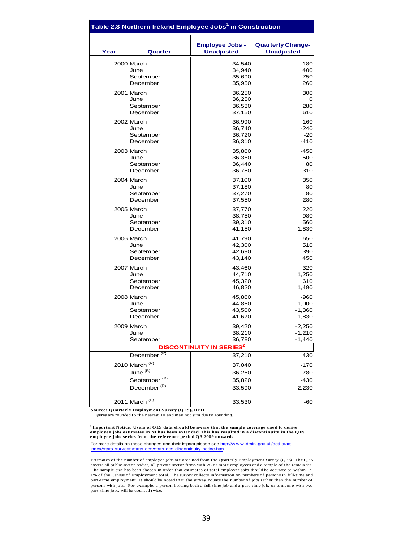|      | Table 2.3 Northern Ireland Employee Jobs <sup>1</sup> in Construction |                                             |                                               |
|------|-----------------------------------------------------------------------|---------------------------------------------|-----------------------------------------------|
| Year | Quarter                                                               | <b>Employee Jobs -</b><br><b>Unadjusted</b> | <b>Quarterly Change-</b><br><b>Unadjusted</b> |
|      | 2000 March                                                            | 34,540                                      | 180                                           |
|      | June                                                                  | 34,940                                      | 400                                           |
|      | September                                                             | 35,690                                      | 750                                           |
|      | December                                                              | 35,950                                      | 260                                           |
|      | 2001 March                                                            | 36,250                                      | 300                                           |
|      | June                                                                  | 36,250                                      | 0                                             |
|      | September                                                             | 36,530                                      | 280                                           |
|      | December                                                              | 37,150                                      | 610                                           |
|      | 2002 March                                                            | 36,990                                      | $-160$                                        |
|      | June                                                                  | 36,740                                      | $-240$                                        |
|      | September                                                             | 36,720                                      | $-20$                                         |
|      | December                                                              | 36,310                                      | $-410$                                        |
|      | 2003 March                                                            | 35,860                                      | $-450$                                        |
|      | June                                                                  | 36,360                                      | 500                                           |
|      | September                                                             | 36,440                                      | 80                                            |
|      | December                                                              | 36,750                                      | 310                                           |
|      | 2004 March                                                            | 37,100                                      | 350                                           |
|      | June                                                                  | 37,180                                      | 80                                            |
|      | September                                                             | 37,270                                      | 80                                            |
|      | December                                                              | 37,550                                      | 280                                           |
|      | 2005 March                                                            | 37,770                                      | 220                                           |
|      | June                                                                  | 38,750                                      | 980                                           |
|      | September                                                             | 39,310                                      | 560                                           |
|      | December                                                              | 41,150                                      | 1,830                                         |
|      | 2006 March                                                            | 41,790                                      | 650                                           |
|      | June                                                                  | 42,300                                      | 510                                           |
|      | September                                                             | 42,690                                      | 390                                           |
|      | December                                                              | 43,140                                      | 450                                           |
|      | 2007 March                                                            | 43,460                                      | 320                                           |
|      | June                                                                  | 44,710                                      | 1,250                                         |
|      | September                                                             | 45,320                                      | 610                                           |
|      | December                                                              | 46,820                                      | 1,490                                         |
|      | 2008 March                                                            | 45,860                                      | $-960$                                        |
|      | June                                                                  | 44,860                                      | $-1,000$                                      |
|      | September                                                             | 43,500                                      | $-1,360$                                      |
|      | December                                                              | 41,670                                      | $-1,830$                                      |
|      | 2009 March                                                            | 39,420                                      | $-2,250$                                      |
|      | June                                                                  | 38,210                                      | $-1,210$                                      |
|      | September                                                             | 36,780                                      | $-1,440$                                      |
|      |                                                                       | <b>DISCONTINUITY IN SERIES<sup>2</sup></b>  |                                               |
|      | December <sup>(R)</sup>                                               | 37,210                                      | 430                                           |
|      | 2010 March <sup>(R)</sup>                                             | 37,040                                      | $-170$                                        |
|      | June <sup>(R)</sup>                                                   | 36,260                                      | $-780$                                        |
|      | September <sup>(R)</sup>                                              | 35,820                                      | $-430$                                        |
|      | December <sup>(R)</sup>                                               | 33,590                                      | $-2,230$                                      |
|      | 2011 March <sup>(P)</sup>                                             | 33,530                                      | -60                                           |

**Source: Q uarterly Employment Survey (Q ES), DETI**

<sup>1</sup> Figures are rounded to the nearest 10 and may not sum due to rounding.

**2 Important Notice: Users of Q ES data should be aware that the sample coverage used to derive employee jobs estimates in NI has been extended. This has resulted in a discontinuity in the QES employee jobs series from the reference period Q 3 2009 onwards.**

For more details on these changes and their impact please see http://www.detini.gov.uk/deti-statsindex/stats-surveys/stats-qes/stats-qes-discontinuity-notice.htm

Estimates of the number of employee jobs are obtained from the Quarterly Employment Survey (QES). The QES covers all public sector bodies, all private sector firms with 25 or more employees and a sample of the remainder. The sample size has been chosen in order that estimates of total employee jobs should be accurate to within +/- 1% of the Census of Employment total. The survey collects information on numbers of persons in full-time and part-time employment. It should be noted that the survey counts the number of jobs rather than the number of persons with jobs. For example, a person holding both a full-time job and a part-time job, or someone with two part-time jobs, will be counted twice.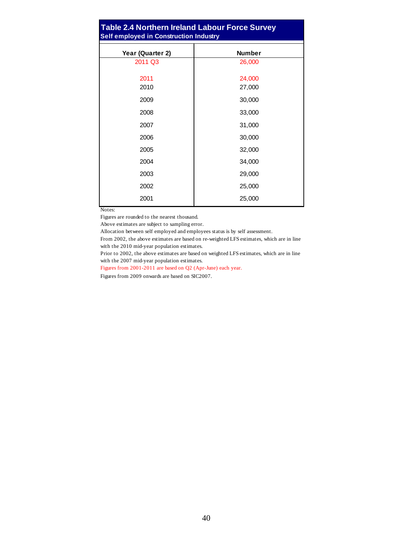#### **Table 2.4 Northern Ireland Labour Force Survey Self employed in Construction Industry**

| Year (Quarter 2) | <b>Number</b> |
|------------------|---------------|
| 2011 Q3          | 26,000        |
|                  |               |
| 2011             | 24,000        |
| 2010             | 27,000        |
| 2009             | 30,000        |
| 2008             | 33,000        |
| 2007             | 31,000        |
| 2006             | 30,000        |
| 2005             | 32,000        |
| 2004             | 34,000        |
| 2003             | 29,000        |
| 2002             | 25,000        |
| 2001             | 25,000        |

Notes:

Figures are rounded to the nearest thousand.

Above estimates are subject to sampling error.

Allocation between self employed and employees status is by self assessment.

From 2002, the above estimates are based on re-weighted LFS estimates, which are in line with the 2010 mid-year population estimates.

Prior to 2002, the above estimates are based on weighted LFS estimates, which are in line with the 2007 mid-year population estimates.

Figures from 2001-2011 are based on Q2 (Apr-June) each year.

Figures from 2009 onwards are based on SIC2007.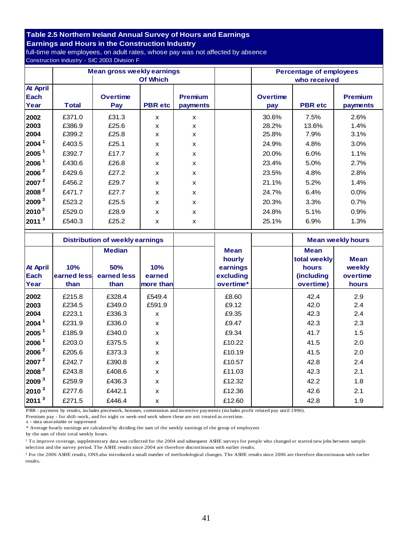# **Table 2.5 Northern Ireland Annual Survey of Hours and Earnings**

**Earnings and Hours in the Construction Industry** full-time male employees, on adult rates, whose pay was not affected by absence Construction Industry - SIC 2003 Division F

|                                 |              | <b>Mean gross weekly earnings</b> |                           |                            |  | <b>Percentage of employees</b> |                |                            |  |
|---------------------------------|--------------|-----------------------------------|---------------------------|----------------------------|--|--------------------------------|----------------|----------------------------|--|
|                                 |              |                                   | Of Which                  |                            |  | who received                   |                |                            |  |
| <b>At April</b><br>Each<br>Year | <b>Total</b> | <b>Overtime</b><br>Pay            | <b>PBR</b> etc            | <b>Premium</b><br>payments |  | <b>Overtime</b><br>pay         | <b>PBR</b> etc | <b>Premium</b><br>payments |  |
| 2002                            | £371.0       | £31.3                             | X                         | X                          |  | 30.6%                          | 7.5%           | 2.6%                       |  |
| 2003                            | £386.9       | £25.6                             | X                         | X                          |  | 28.2%                          | 13.6%          | 1.4%                       |  |
| 2004                            | £399.2       | £25.8                             | X                         | X                          |  | 25.8%                          | 7.9%           | 3.1%                       |  |
| 2004 <sup>1</sup>               | £403.5       | £25.1                             | X                         | X                          |  | 24.9%                          | 4.8%           | $3.0\%$                    |  |
| 2005 <sup>1</sup>               | £392.7       | £17.7                             | X                         | X                          |  | 20.0%                          | 6.0%           | 1.1%                       |  |
| 2006 <sup>1</sup>               | £430.6       | £26.8                             | X                         | X                          |  | 23.4%                          | 5.0%           | 2.7%                       |  |
| 2006 <sup>2</sup>               | £429.6       | £27.2                             | $\boldsymbol{\mathsf{x}}$ | $\mathbf x$                |  | 23.5%                          | 4.8%           | 2.8%                       |  |
| 2007 <sup>2</sup>               | £456.2       | £29.7                             | X                         | X                          |  | 21.1%                          | 5.2%           | 1.4%                       |  |
| 2008 <sup>2</sup>               | £471.7       | £27.7                             | $\boldsymbol{\mathsf{x}}$ | X                          |  | 24.7%                          | 6.4%           | $0.0\%$                    |  |
| 2009 <sup>3</sup>               | £523.2       | £25.5                             | X                         | X                          |  | 20.3%                          | 3.3%           | 0.7%                       |  |
| $2010^3$                        | £529.0       | £28.9                             | X                         | X                          |  | 24.8%                          | 5.1%           | 0.9%                       |  |
| $ 2011 ^{3}$                    | £540.3       | £25.2                             | X                         | $\mathbf x$                |  | 25.1%                          | 6.9%           | 1.3%                       |  |

|                          | <b>Distribution of weekly earnings</b> |                                                    |                            | <b>Mean weekly hours</b>                                    |                                                                         |                                            |
|--------------------------|----------------------------------------|----------------------------------------------------|----------------------------|-------------------------------------------------------------|-------------------------------------------------------------------------|--------------------------------------------|
| At April<br>Each<br>Year | 10%<br>earned less<br>than             | <b>Median</b><br><b>50%</b><br>earned less<br>than | 10%<br>earned<br>more than | <b>Mean</b><br>hourly<br>earnings<br>excluding<br>overtime* | <b>Mean</b><br>total weekly<br>hours<br><i>(including)</i><br>overtime) | <b>Mean</b><br>weekly<br>overtime<br>hours |
| 2002                     | £215.8                                 | £328.4                                             | £549.4                     | £8.60                                                       | 42.4                                                                    | 2.9                                        |
| 2003                     | £234.5                                 | £349.0                                             | £591.9                     | £9.12                                                       | 42.0                                                                    | 2.4                                        |
| 2004                     | £223.1                                 | £336.3                                             | X                          | £9.35                                                       | 42.3                                                                    | 2.4                                        |
| 2004 <sup>1</sup>        | £231.9                                 | £336.0                                             | $\mathsf{x}$               | £9.47                                                       | 42.3                                                                    | 2.3                                        |
| 2005 <sup>1</sup>        | £185.9                                 | £340.0                                             | $\boldsymbol{\mathsf{x}}$  | £9.34                                                       | 41.7                                                                    | 1.5                                        |
| 2006 <sup>1</sup>        | £203.0                                 | £375.5                                             | X                          | £10.22                                                      | 41.5                                                                    | 2.0                                        |
| 2006 <sup>2</sup>        | £205.6                                 | £373.3                                             | $\mathbf{x}$               | £10.19                                                      | 41.5                                                                    | 2.0                                        |
| 2007 <sup>2</sup>        | £242.7                                 | £390.8                                             | X                          | £10.57                                                      | 42.8                                                                    | 2.4                                        |
| $ 2008 ^2$               | £243.8                                 | £408.6                                             | $\boldsymbol{\mathsf{x}}$  | £11.03                                                      | 42.3                                                                    | 2.1                                        |
| 2009 <sup>3</sup>        | £259.9                                 | £436.3                                             | X                          | £12.32                                                      | 42.2                                                                    | 1.8                                        |
| 2010 <sup>3</sup>        | £277.6                                 | £442.1                                             | X                          | £12.36                                                      | 42.6                                                                    | 2.1                                        |
| 2011 <sup>3</sup>        | £271.5                                 | £446.4                                             | X                          | £12.60                                                      | 42.8                                                                    | 1.9                                        |

PBR - payment by results, includes piecework, bonuses, commission and incentive payments (includes profit related pay until 1996).

Premium pay - for shift-work, and for night or week-end work where these are not treated as overtime.

x - data unavailable or suppressed

\* Average hourly earnings are calculated by dividing the sum of the weekly earnings of the group of employees

by the sum of their total weekly hours.

1 To improve coverage, supplementary data was collected for the 2004 and subsequent ASHE surveys for people who changed or started new jobs between sample selection and the survey period. The ASHE results since 2004 are therefore discontinuous with earlier results.

<sup>2</sup> For the 2006 ASHE results, ONS also introduced a small number of methodological changes. The ASHE results since 2006 are therefore discontinuous with earlier results.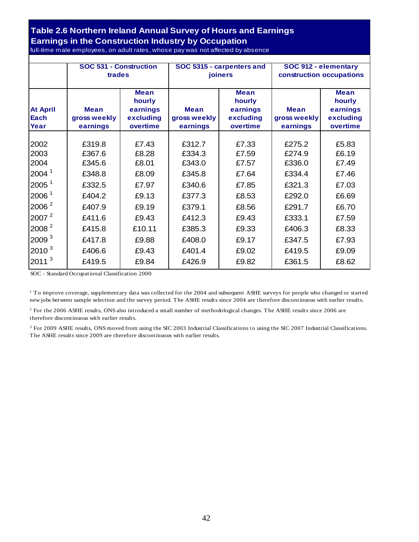#### **Table 2.6 Northern Ireland Annual Survey of Hours and Earnings Earnings in the Construction Industry by Occupation** full-time male employees, on adult rates, whose pay was not affected by absence

|                                 | SOC 531 - Construction<br>trades        |                                                            |                                  | SOC 5315 - carpenters and<br>joiners                       | SOC 912 - elementary<br>construction occupations |                                                            |
|---------------------------------|-----------------------------------------|------------------------------------------------------------|----------------------------------|------------------------------------------------------------|--------------------------------------------------|------------------------------------------------------------|
| <b>At April</b><br>Each<br>Year | <b>Mean</b><br>gross weekly<br>earnings | <b>Mean</b><br>hourly<br>earnings<br>excluding<br>overtime | Mean<br>gross weekly<br>earnings | <b>Mean</b><br>hourly<br>earnings<br>excluding<br>overtime | <b>Mean</b><br>gross weekly<br>earnings          | <b>Mean</b><br>hourly<br>earnings<br>excluding<br>overtime |
| 2002                            | £319.8                                  | £7.43                                                      | £312.7                           | £7.33                                                      | £275.2                                           | £5.83                                                      |
| 2003                            | £367.6                                  | £8.28                                                      | £334.3                           | £7.59                                                      | £274.9                                           | £6.19                                                      |
| 2004                            | £345.6                                  | £8.01                                                      | £343.0                           | £7.57                                                      | £336.0                                           | £7.49                                                      |
| 2004 <sup>1</sup>               | £348.8                                  | £8.09                                                      | £345.8                           | £7.64                                                      | £334.4                                           | £7.46                                                      |
| 2005 <sup>1</sup>               | £332.5                                  | £7.97                                                      | £340.6                           | £7.85                                                      | £321.3                                           | £7.03                                                      |
| 2006 <sup>1</sup>               | £404.2                                  | £9.13                                                      | £377.3                           | £8.53                                                      | £292.0                                           | £6.69                                                      |
| 2006 <sup>2</sup>               | £407.9                                  | £9.19                                                      | £379.1                           | £8.56                                                      | £291.7                                           | £6.70                                                      |
| 2007 <sup>2</sup>               | £411.6                                  | £9.43                                                      | £412.3                           | £9.43                                                      | £333.1                                           | £7.59                                                      |
| 2008 <sup>2</sup>               | £415.8                                  | £10.11                                                     | £385.3                           | £9.33                                                      | £406.3                                           | £8.33                                                      |
| 2009 <sup>3</sup>               | £417.8                                  | £9.88                                                      | £408.0                           | £9.17                                                      | £347.5                                           | £7.93                                                      |
| 2010 <sup>3</sup>               | £406.6                                  | £9.43                                                      | £401.4                           | £9.02                                                      | £419.5                                           | £9.09                                                      |
| 2011 <sup>3</sup>               | £419.5                                  | £9.84                                                      | £426.9                           | £9.82                                                      | £361.5                                           | £8.62                                                      |

SOC - Standard Occupational Classification 2000

1 To improve coverage, supplementary data was collected for the 2004 and subsequent ASHE surveys for people who changed or started new jobs between sample selection and the survey period. The ASHE results since 2004 are therefore discontinuous with earlier results.

<sup>2</sup> For the 2006 ASHE results, ONS also introduced a small number of methodological changes. The ASHE results since 2006 are therefore discontinuous with earlier results.

<sup>3</sup> For 2009 ASHE results, ONS moved from using the SIC 2003 Industrial Classifications to using the SIC 2007 Industrial Classifications. The ASHE results since 2009 are therefore discontinuous with earlier results.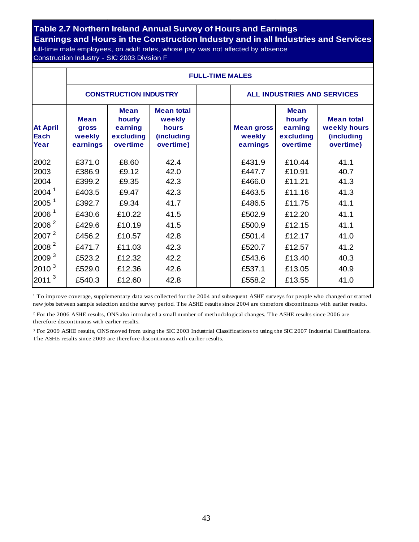# **Table 2.7 Northern Ireland Annual Survey of Hours and Earnings Earnings and Hours in the Construction Industry and in all Industries and Services**

full-time male employees, on adult rates, whose pay was not affected by absence Construction Industry - SIC 2003 Division F

|                                                                                                                               |                                                                              | <b>FULL-TIME MALES</b>                                                  |                                                                        |  |                                                                              |                                                                              |                                                              |  |  |  |  |
|-------------------------------------------------------------------------------------------------------------------------------|------------------------------------------------------------------------------|-------------------------------------------------------------------------|------------------------------------------------------------------------|--|------------------------------------------------------------------------------|------------------------------------------------------------------------------|--------------------------------------------------------------|--|--|--|--|
|                                                                                                                               |                                                                              | <b>CONSTRUCTION INDUSTRY</b>                                            |                                                                        |  | <b>ALL INDUSTRIES AND SERVICES</b>                                           |                                                                              |                                                              |  |  |  |  |
| <b>At April</b><br>Each<br>Year                                                                                               | <b>Mean</b><br><b>gross</b><br>weekly<br>earnings                            | <b>Mean</b><br>hourly<br>earning<br>excluding<br>overtime               | <b>Mean total</b><br>weekly<br>hours<br><i>(including</i><br>overtime) |  | <b>Mean gross</b><br>weekly<br>earnings                                      | <b>Mean</b><br>hourly<br>earning<br>excluding<br>overtime                    | <b>Mean total</b><br>weekly hours<br>(including<br>overtime) |  |  |  |  |
| 2002<br>2003<br>2004<br>2004 <sup>1</sup><br>2005 <sup>1</sup><br>2006 <sup>1</sup><br>2006 <sup>2</sup><br>2007 <sup>2</sup> | £371.0<br>£386.9<br>£399.2<br>£403.5<br>£392.7<br>£430.6<br>£429.6<br>£456.2 | £8.60<br>£9.12<br>£9.35<br>£9.47<br>£9.34<br>£10.22<br>£10.19<br>£10.57 | 42.4<br>42.0<br>42.3<br>42.3<br>41.7<br>41.5<br>41.5<br>42.8           |  | £431.9<br>£447.7<br>£466.0<br>£463.5<br>£486.5<br>£502.9<br>£500.9<br>£501.4 | £10.44<br>£10.91<br>£11.21<br>£11.16<br>£11.75<br>£12.20<br>£12.15<br>£12.17 | 41.1<br>40.7<br>41.3<br>41.3<br>41.1<br>41.1<br>41.1<br>41.0 |  |  |  |  |
| 2008 <sup>2</sup><br>2009 <sup>3</sup><br>$2010^3$<br>3<br>2011                                                               | £471.7<br>£523.2<br>£529.0<br>£540.3                                         | £11.03<br>£12.32<br>£12.36<br>£12.60                                    | 42.3<br>42.2<br>42.6<br>42.8                                           |  | £520.7<br>£543.6<br>£537.1<br>£558.2                                         | £12.57<br>£13.40<br>£13.05<br>£13.55                                         | 41.2<br>40.3<br>40.9<br>41.0                                 |  |  |  |  |

<sup>1</sup> To improve coverage, supplementary data was collected for the 2004 and subsequent ASHE surveys for people who changed or started new jobs between sample selection and the survey period. The ASHE results since 2004 are therefore discontinuous with earlier results.

<sup>2</sup> For the 2006 ASHE results, ONS also introduced a small number of methodological changes. The ASHE results since 2006 are therefore discontinuous with earlier results.

3 For 2009 ASHE results, ONS moved from using the SIC 2003 Industrial Classifications to using the SIC 2007 Industrial Classifications. The ASHE results since 2009 are therefore discontinuous with earlier results.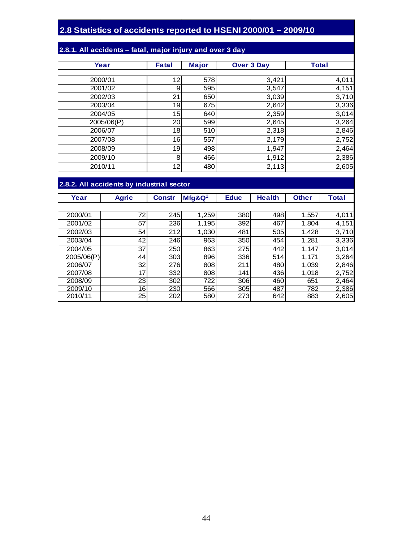#### **2.8 Statistics of accidents reported to HSENI 2000/01 – 2009/10**

#### **2.8.1. All accidents – fatal, major injury and over 3 day**

| Year       | <b>Fatal</b>    | <b>Major</b> | <b>Over 3 Day</b> | <b>Total</b> |
|------------|-----------------|--------------|-------------------|--------------|
|            |                 |              |                   |              |
| 2000/01    | 12              | 578          | 3,421             | 4,011        |
| 2001/02    | 9               | 595          | 3,547             | 4,151        |
| 2002/03    | 21              | 650          | 3,039             | 3,710        |
| 2003/04    | 19              | 675          | 2,642             | 3,336        |
| 2004/05    | 15              | 640          | 2,359             | 3,014        |
| 2005/06(P) | 20 <sub>l</sub> | 599          | 2,645             | 3,264        |
| 2006/07    | 18              | 510          | 2,318             | 2,846        |
| 2007/08    | 16              | 557          | 2,179             | 2,752        |
| 2008/09    | 19              | 498          | 1,947             | 2,464        |
| 2009/10    | 8               | 466          | 1,912             | 2,386        |
| 2010/11    | 12              | 480          | 2,113             | 2,605        |

#### **2.8.2. All accidents by industrial sector**

| Year       | <b>Agric</b>    | <b>Constr</b> | $Mfg$ &Q <sup>1</sup> | <b>Educ</b> | <b>Health</b> | <b>Other</b> | <b>Total</b> |
|------------|-----------------|---------------|-----------------------|-------------|---------------|--------------|--------------|
|            |                 |               |                       |             |               |              |              |
| 2000/01    | 72              | 245           | 1,259                 | 380         | 498           | 1,557        | 4,011        |
| 2001/02    | 57              | 236           | 1,195                 | 392         | 467           | 1,804        | 4,151        |
| 2002/03    | 54              | 212           | 1,030                 | 481         | 505           | 1,428        | 3,710        |
| 2003/04    | 42              | 246           | 963                   | 350         | 454           | 1,281        | 3,336        |
| 2004/05    | 37              | 250           | 863                   | 275         | 442           | 1,147        | 3,014        |
| 2005/06(P) | 44              | 303           | 896                   | 336         | 514           | 1,171        | 3,264        |
| 2006/07    | 32              | 276           | 808                   | 211         | 480           | 1,039        | 2,846        |
| 2007/08    | 17              | 332           | 808                   | 141         | 436           | 1,018        | 2,752        |
| 2008/09    | 23              | 302           | 722                   | 306         | 460           | 651          | 2,464        |
| 2009/10    | 16 <sup>1</sup> | 230           | 566                   | 305         | 487           | 782          | 2,386        |
| 2010/11    | 25              | 202           | 580                   | 273         | 642           | 883          | 2,605        |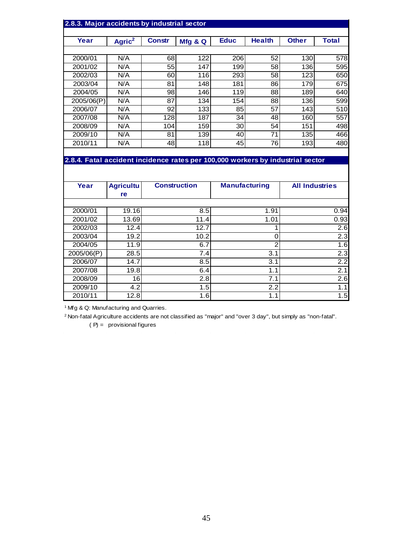| 2.8.3. Major accidents by industrial sector                                    |                    |               |         |             |               |              |       |  |  |  |
|--------------------------------------------------------------------------------|--------------------|---------------|---------|-------------|---------------|--------------|-------|--|--|--|
|                                                                                |                    |               |         |             |               |              |       |  |  |  |
| Year                                                                           | Agric <sup>2</sup> | <b>Constr</b> | Mfg & Q | <b>Educ</b> | <b>Health</b> | <b>Other</b> | Total |  |  |  |
|                                                                                |                    |               |         |             |               |              |       |  |  |  |
| 2000/01                                                                        | N/A                | 68            | 122     | 206         | 52            | 130          | 578   |  |  |  |
| 2001/02                                                                        | N/A                | 55            | 147     | 199         | 58            | 1361         | 595   |  |  |  |
| 2002/03                                                                        | N/A                | 60            | 116     | 293         | 58            | 123          | 650   |  |  |  |
| 2003/04                                                                        | N/A                | 81            | 148     | 181         | 86            | 179          | 675   |  |  |  |
| 2004/05                                                                        | N/A                | 98            | 146     | 119         | 88            | 189          | 640   |  |  |  |
| 2005/06(P)                                                                     | N/A                | 87            | 134     | 154         | 88            | 136          | 599   |  |  |  |
| 2006/07                                                                        | N/A                | 92            | 1331    | 85          | 57            | 143          | 510   |  |  |  |
| 2007/08                                                                        | N/A                | 128           | 187     | 34          | 48            | 160          | 557   |  |  |  |
| 2008/09                                                                        | N/A                | 104           | 159     | 30          | 54            | 151          | 498   |  |  |  |
| 2009/10                                                                        | N/A                | 81            | 139     | 40          | 71            | 135          | 466   |  |  |  |
| 2010/11                                                                        | N/A                | 48            | 118     | 45          | 76            | 193          | 480   |  |  |  |
|                                                                                |                    |               |         |             |               |              |       |  |  |  |
| 2.8.4. Fatal accident incidence rates per 100,000 workers by industrial sector |                    |               |         |             |               |              |       |  |  |  |

| Year       | <b>Agricultu</b> | <b>Construction</b> | <b>Manufacturing</b> | <b>All Industries</b> |
|------------|------------------|---------------------|----------------------|-----------------------|
|            | re               |                     |                      |                       |
|            |                  |                     |                      |                       |
| 2000/01    | 19.16            | 8.5                 | 1.91                 | 0.94                  |
| 2001/02    | 13.69            | 11.4                | 1.01                 | 0.93                  |
| 2002/03    | 12.4             | 12.7                |                      | 2.6                   |
| 2003/04    | 19.2             | 10.2                | 0                    | 2.3                   |
| 2004/05    | 11.9             | 6.7                 | 2                    | 1.6                   |
| 2005/06(P) | 28.5             | 7.4                 | 3.1                  | 2.3                   |
| 2006/07    | 14.7             | 8.5                 | 3.1                  | 2.2                   |
| 2007/08    | 19.8             | 6.4                 | 1.1                  | 2.1                   |
| 2008/09    | 16               | 2.8                 | 7.1                  | 2.6                   |
| 2009/10    | 4.2              | 1.5                 | 2.2                  | 1.1                   |
| 2010/11    | 12.8             | 1.6                 | 1.1                  | 1.5                   |

<sup>1</sup> Mfg & Q: Manufacturing and Quarries.

2 Non-fatal Agriculture accidents are not classified as "major" and "over 3 day", but simply as "non-fatal".

 $(P) =$  provisional figures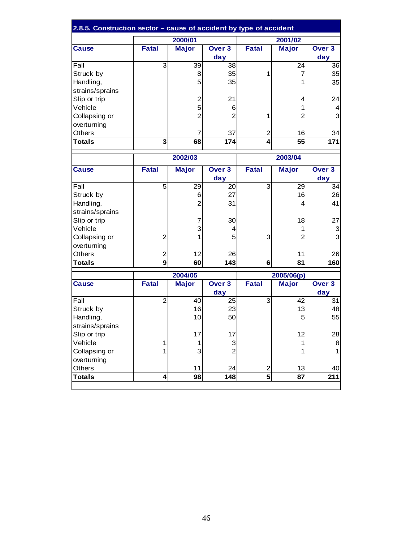| 2.8.5. Construction sector - cause of accident by type of accident |                         |                |                          |                         |                |                         |  |
|--------------------------------------------------------------------|-------------------------|----------------|--------------------------|-------------------------|----------------|-------------------------|--|
|                                                                    |                         | 2000/01        |                          |                         | 2001/02        |                         |  |
| <b>Cause</b>                                                       | Fatal                   | <b>Major</b>   | Over <sub>3</sub>        | <b>Fatal</b>            | <b>Major</b>   | Over <sub>3</sub>       |  |
|                                                                    |                         |                | day                      |                         |                | day                     |  |
| Fall                                                               | 3                       | 39             | 38                       |                         | 24             | 36                      |  |
| Struck by                                                          |                         | 8              | 35                       | 1                       | $\overline{7}$ | 35                      |  |
| Handling,                                                          |                         | 5              | 35                       |                         | 1              | 35                      |  |
| strains/sprains                                                    |                         |                |                          |                         |                |                         |  |
| Slip or trip                                                       |                         | $\overline{c}$ | 21                       |                         | 4              | 24                      |  |
| Vehicle                                                            |                         | 5              | 6                        |                         | 1              | $\overline{\mathbf{4}}$ |  |
| Collapsing or                                                      |                         | $\overline{2}$ | $\overline{2}$           | 1                       | $\overline{2}$ | $\overline{3}$          |  |
| overturning                                                        |                         |                |                          |                         |                |                         |  |
| <b>Others</b>                                                      |                         | 7              | 37                       | $\overline{2}$          | 16             | 34                      |  |
| <b>Totals</b>                                                      | $\overline{\mathbf{3}}$ | 68             | 174                      | 4                       | 55             | 171                     |  |
|                                                                    |                         | 2002/03        |                          | 2003/04                 |                |                         |  |
| <b>Cause</b>                                                       | <b>Fatal</b>            | <b>Major</b>   | Over <sub>3</sub>        | <b>Fatal</b>            | <b>Major</b>   | Over <sub>3</sub>       |  |
|                                                                    |                         |                | day                      |                         |                | day                     |  |
| Fall                                                               | 5                       | 29             | 20                       | 3                       | 29             | 34                      |  |
| Struck by                                                          |                         | 6              | 27                       |                         | 16             | 26                      |  |
| Handling,                                                          |                         | 2              | 31                       |                         | 4              | 41                      |  |
| strains/sprains                                                    |                         |                |                          |                         |                |                         |  |
| Slip or trip                                                       |                         | $\overline{7}$ | 30                       |                         | 18             | 27                      |  |
| Vehicle                                                            |                         | 3              | 4                        |                         | 1              | 3                       |  |
| Collapsing or                                                      | $\mathbf 2$             | 1              | 5                        | 3                       | $\overline{2}$ | 3                       |  |
| overturning                                                        |                         |                |                          |                         |                |                         |  |
| <b>Others</b>                                                      | $\overline{\mathbf{c}}$ | 12             | 26                       |                         | 11             | 26                      |  |
| <b>Totals</b>                                                      | $\overline{9}$          | 60             | $\overline{143}$         | 6                       | 81             | 160                     |  |
|                                                                    |                         | 2004/05        |                          |                         | 2005/06(p)     |                         |  |
| <b>Cause</b>                                                       | <b>Fatal</b>            | <b>Major</b>   | Over <sub>3</sub><br>day | <b>Fatal</b>            | <b>Major</b>   | Over 3<br>day           |  |
| Fall                                                               | $\overline{2}$          | 40             | 25                       | $\overline{3}$          | 42             | 31                      |  |
| Struck by                                                          |                         | 16             | 23                       |                         | 13             | 48                      |  |
| Handling,                                                          |                         | 10             | 50                       |                         | 5              | 55                      |  |
| strains/sprains                                                    |                         |                |                          |                         |                |                         |  |
| Slip or trip                                                       |                         | 17             | 17                       |                         | 12             | 28                      |  |
| Vehicle                                                            | 1                       | 1              | 3                        |                         | 1              | 8                       |  |
| Collapsing or                                                      | 1                       | 3              | $\overline{2}$           |                         | 1              | 1                       |  |
| overturning                                                        |                         |                |                          |                         |                |                         |  |
| Others                                                             |                         | 11             | 24                       | $\overline{2}$          | 13             | 40                      |  |
| <b>Totals</b>                                                      | 4                       | 98             | 148                      | $\overline{\mathbf{5}}$ | 87             | 211                     |  |
|                                                                    |                         |                |                          |                         |                |                         |  |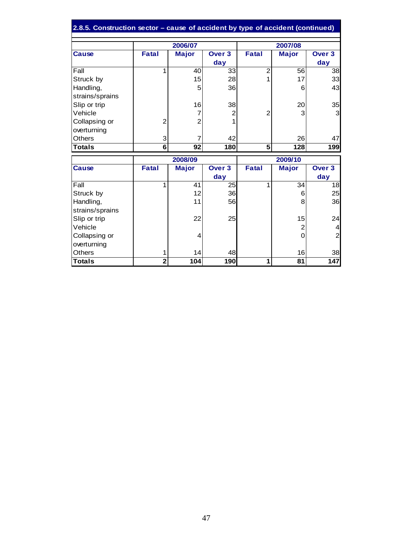| 2.8.5. Construction sector - cause of accident by type of accident (continued) |                              |                |                          |                |                       |                          |  |
|--------------------------------------------------------------------------------|------------------------------|----------------|--------------------------|----------------|-----------------------|--------------------------|--|
|                                                                                |                              | 2006/07        |                          |                | 2007/08               |                          |  |
| <b>Cause</b>                                                                   | <b>Fatal</b>                 | <b>Major</b>   | Over <sub>3</sub><br>day | <b>Fatal</b>   | <b>Major</b>          | Over <sub>3</sub><br>day |  |
| Fall                                                                           | 1                            | 40             | 33                       | $\overline{2}$ | 56                    | 38                       |  |
| Struck by                                                                      |                              | 15             | 28                       | 1              | 17                    | 33                       |  |
| Handling,                                                                      |                              | 5              | 36                       |                | 6                     | 43                       |  |
| strains/sprains                                                                |                              |                |                          |                |                       |                          |  |
| Slip or trip                                                                   |                              | 16             | 38                       |                | 20                    | 35                       |  |
| Vehicle                                                                        |                              |                | 2                        | 2              | 3                     | $\overline{3}$           |  |
| Collapsing or                                                                  | $\overline{c}$               | $\overline{2}$ | 1                        |                |                       |                          |  |
| overturning                                                                    |                              |                |                          |                |                       |                          |  |
| <b>Others</b>                                                                  | 3                            |                | 42                       |                | 26                    | 47                       |  |
| Totals                                                                         | $6\phantom{1}$               | 92             | 180                      | 5              | 128                   | 199                      |  |
|                                                                                |                              | 2008/09        |                          | 2009/10        |                       |                          |  |
| <b>Cause</b>                                                                   | <b>Fatal</b>                 | <b>Major</b>   | Over 3                   | <b>Fatal</b>   |                       | Over <sub>3</sub>        |  |
|                                                                                |                              |                |                          |                | <b>Major</b>          |                          |  |
|                                                                                |                              |                | day                      |                |                       | day                      |  |
| Fall                                                                           | 1                            | 41             | 25                       | 1              | $\overline{34}$       | $\overline{18}$          |  |
| Struck by                                                                      |                              | 12             | 36                       |                | 6                     | 25                       |  |
| Handling,                                                                      |                              | 11             | 56                       |                | 8                     | 36                       |  |
| strains/sprains                                                                |                              |                |                          |                |                       |                          |  |
| Slip or trip                                                                   |                              | 22             | 25                       |                | 15                    | 24                       |  |
| Vehicle                                                                        |                              |                |                          |                | $\overline{c}$        | $\overline{4}$           |  |
| Collapsing or                                                                  |                              | 4              |                          |                | 0                     | $\overline{c}$           |  |
| overturning                                                                    |                              |                |                          |                |                       |                          |  |
| Others                                                                         | 1<br>$\overline{\mathbf{2}}$ | 14             | 48<br>190                |                | 16<br>$\overline{81}$ | 38<br>147                |  |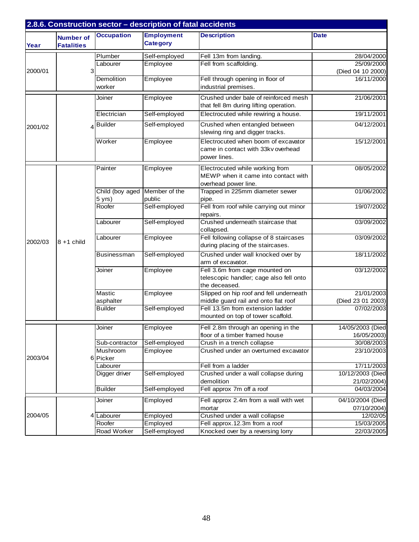|         |                                       |                             | 2.8.6. Construction sector - description of fatal accidents |                                                                                                |                                 |
|---------|---------------------------------------|-----------------------------|-------------------------------------------------------------|------------------------------------------------------------------------------------------------|---------------------------------|
| Year    | <b>Number of</b><br><b>Fatalities</b> | <b>Occupation</b>           | <b>Employment</b><br><b>Category</b>                        | <b>Description</b>                                                                             | <b>Date</b>                     |
|         |                                       | Plumber                     | Self-employed                                               | Fell 13m from landing.                                                                         | 28/04/2000                      |
|         |                                       | Labourer                    | Employee                                                    | Fell from scaffolding.                                                                         | 25/09/2000                      |
| 2000/01 | 3                                     |                             |                                                             |                                                                                                | (Died 04 10 2000)               |
|         |                                       | Demolition<br>worker        | Employee                                                    | Fell through opening in floor of<br>industrial premises.                                       | 16/11/2000                      |
|         |                                       | Joiner                      | Employee                                                    | Crushed under bale of reinforced mesh<br>that fell 8m during lifting operation.                | 21/06/2001                      |
|         |                                       | Electrician                 | Self-employed                                               | Electrocuted while rewiring a house.                                                           | 19/11/2001                      |
| 2001/02 | 4                                     | <b>Builder</b>              | Self-employed                                               | Crushed when entangled between<br>slewing ring and digger tracks.                              | 04/12/2001                      |
|         |                                       | Worker                      | Employee                                                    | Electrocuted when boom of excavator<br>came in contact with 33kv overhead<br>power lines.      | 15/12/2001                      |
|         |                                       | Painter                     | Employee                                                    | Electrocuted while working from<br>MEWP when it came into contact with<br>overhead power line. | 08/05/2002                      |
|         |                                       | Child (boy aged<br>$5$ yrs) | Member of the<br>public                                     | Trapped in 225mm diameter sewer<br>pipe.                                                       | 01/06/2002                      |
|         |                                       | Roofer                      | Self-employed                                               | Fell from roof while carrying out minor<br>repairs.                                            | 19/07/2002                      |
|         |                                       | Labourer                    | Self-employed                                               | Crushed underneath staircase that<br>collapsed.                                                | 03/09/2002                      |
| 2002/03 | 8+1 child                             | Labourer                    | Employee                                                    | Fell following collapse of 8 staircases<br>during placing of the staircases.                   | 03/09/2002                      |
|         |                                       | Businessman                 | Self-employed                                               | Crushed under wall knocked over by<br>arm of excavator.                                        | 18/11/2002                      |
|         |                                       | Joiner                      | Employee                                                    | Fell 3.6m from cage mounted on<br>telescopic handler; cage also fell onto<br>the deceased.     | 03/12/2002                      |
|         |                                       | Mastic                      | Employee                                                    | Slipped on hip roof and fell underneath                                                        | 21/01/2003                      |
|         |                                       | asphalter                   |                                                             | middle guard rail and onto flat roof                                                           | (Died 23 01 2003)               |
|         |                                       | <b>Builder</b>              | Self-employed                                               | Fell 13.5m from extension ladder<br>mounted on top of tower scaffold.                          | 07/02/2003                      |
|         |                                       | Joiner                      | Employee                                                    | Fell 2.8m through an opening in the<br>floor of a timber framed house                          | 14/05/2003 (Died<br>16/05/2003) |
|         |                                       | Sub-contractor              | Self-employed                                               | Crush in a trench collapse                                                                     | 30/08/2003                      |
| 2003/04 | 6                                     | Mushroom<br>Picker          | Employee                                                    | Crushed under an overturned excavator                                                          | 23/10/2003                      |
|         |                                       | Labourer                    |                                                             | Fell from a ladder                                                                             | 17/11/2003                      |
|         |                                       | Digger driver               | Self-employed                                               | Crushed under a wall collapse during                                                           | 10/12/2003 (Died                |
|         |                                       |                             |                                                             | demolition                                                                                     | 21/02/2004)                     |
|         |                                       | <b>Builder</b>              | Self-employed                                               | Fell approx 7m off a roof                                                                      | 04/03/2004                      |
|         |                                       | Joiner                      | Employed                                                    | Fell approx 2.4m from a wall with wet<br>mortar                                                | 04/10/2004 (Died<br>07/10/2004) |
| 2004/05 |                                       | Labourer                    | Employed                                                    | Crushed under a wall collapse                                                                  | 12/02/05                        |
|         |                                       | Roofer                      | Employed                                                    | Fell approx.12.3m from a roof                                                                  | 15/03/2005                      |
|         |                                       | Road Worker                 | Self-employed                                               | Knocked over by a reversing lorry                                                              | 22/03/2005                      |